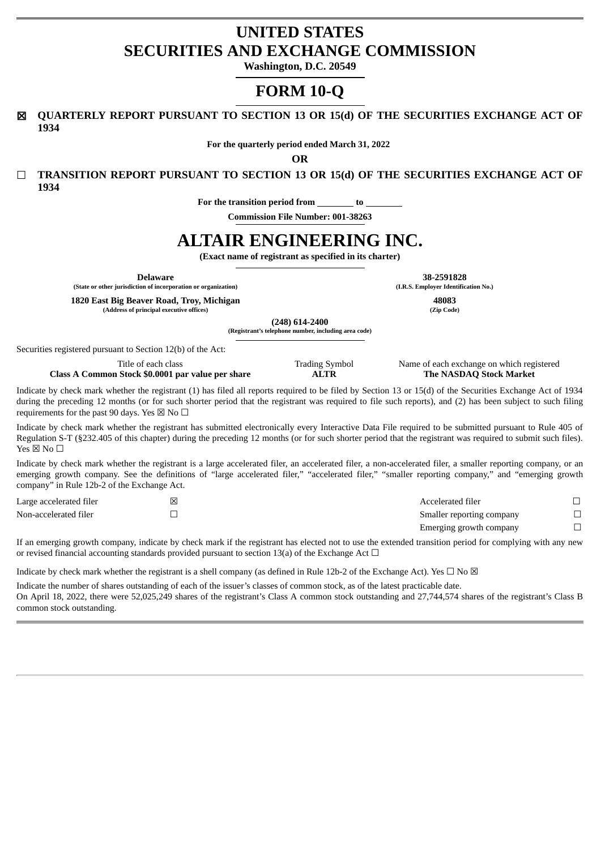# **UNITED STATES SECURITIES AND EXCHANGE COMMISSION**

**Washington, D.C. 20549**

# **FORM 10-Q**

☒ **QUARTERLY REPORT PURSUANT TO SECTION 13 OR 15(d) OF THE SECURITIES EXCHANGE ACT OF 1934**

**For the quarterly period ended March 31, 2022**

**OR**

☐ **TRANSITION REPORT PURSUANT TO SECTION 13 OR 15(d) OF THE SECURITIES EXCHANGE ACT OF 1934**

**For the transition period from to**

**Commission File Number: 001-38263**

# **ALTAIR ENGINEERING INC.**

**(Exact name of registrant as specified in its charter)**

**(State or other jurisdiction of incorporation or organization) (I.R.S. Employer Identification No.)**

**Delaware 38-2591828**<br> **1992 The of incorporation or organization** 

**1820 East Big Beaver Road, Troy, Michigan 48083**

**(Address of principal executive offices) (Zip Code)**

**(248) 614-2400**

**(Registrant's telephone number, including area code)**

Securities registered pursuant to Section 12(b) of the Act:

Title of each class Trading Symbol Name of each exchange on which registered<br> **Name of each exchange on which registered**<br> **Name of each exchange on which registered**<br> **Name of each exchange on which registered Class A** Common Stock \$0.0001 par value per share **The ALTR** 

Indicate by check mark whether the registrant (1) has filed all reports required to be filed by Section 13 or 15(d) of the Securities Exchange Act of 1934 during the preceding 12 months (or for such shorter period that the registrant was required to file such reports), and (2) has been subject to such filing requirements for the past 90 days. Yes  $\boxtimes$  No  $\Box$ 

Indicate by check mark whether the registrant has submitted electronically every Interactive Data File required to be submitted pursuant to Rule 405 of Regulation S-T (§232.405 of this chapter) during the preceding 12 months (or for such shorter period that the registrant was required to submit such files).  $Yes \boxtimes No \Box$ 

Indicate by check mark whether the registrant is a large accelerated filer, an accelerated filer, a non-accelerated filer, a smaller reporting company, or an emerging growth company. See the definitions of "large accelerated filer," "accelerated filer," "smaller reporting company," and "emerging growth company" in Rule 12b-2 of the Exchange Act.

| Large accelerated filer | ⊠ | Accelerated filer         |  |
|-------------------------|---|---------------------------|--|
| Non-accelerated filer   |   | Smaller reporting company |  |
|                         |   | Emerging growth company   |  |

If an emerging growth company, indicate by check mark if the registrant has elected not to use the extended transition period for complying with any new or revised financial accounting standards provided pursuant to section 13(a) of the Exchange Act  $\Box$ 

Indicate by check mark whether the registrant is a shell company (as defined in Rule 12b-2 of the Exchange Act). Yes  $\Box$  No  $\boxtimes$ 

Indicate the number of shares outstanding of each of the issuer's classes of common stock, as of the latest practicable date. On April 18, 2022, there were 52,025,249 shares of the registrant's Class A common stock outstanding and 27,744,574 shares of the registrant's Class B common stock outstanding.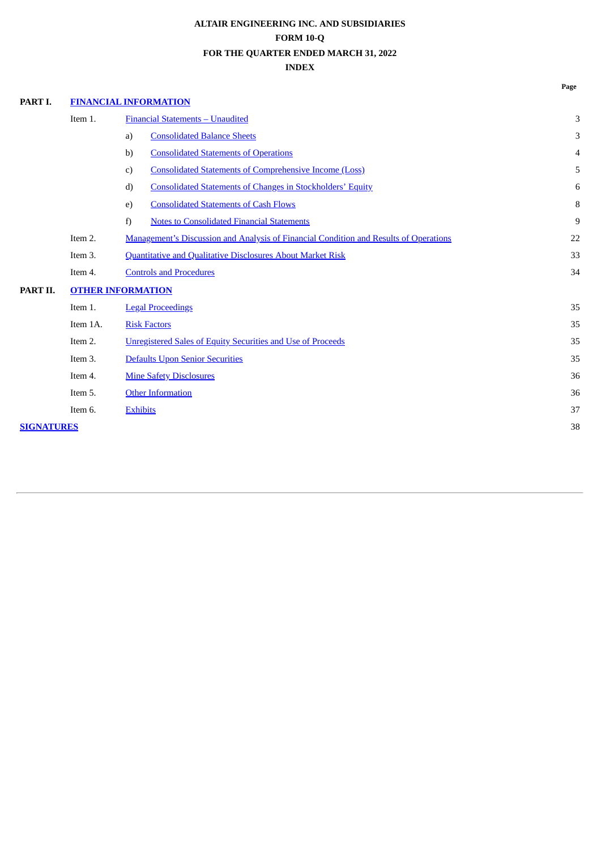# **ALTAIR ENGINEERING INC. AND SUBSIDIARIES FORM 10-Q FOR THE QUARTER ENDED MARCH 31, 2022 INDEX**

**Page**

| PART I.           |          | <b>FINANCIAL INFORMATION</b>                                                                 |    |
|-------------------|----------|----------------------------------------------------------------------------------------------|----|
|                   | Item 1.  | <b>Financial Statements - Unaudited</b>                                                      | 3  |
|                   |          | <b>Consolidated Balance Sheets</b><br>a)                                                     | 3  |
|                   |          | <b>Consolidated Statements of Operations</b><br>b)                                           | 4  |
|                   |          | <b>Consolidated Statements of Comprehensive Income (Loss)</b><br>c)                          | 5  |
|                   |          | <b>Consolidated Statements of Changes in Stockholders' Equity</b><br>d)                      | 6  |
|                   |          | <b>Consolidated Statements of Cash Flows</b><br>e)                                           | 8  |
|                   |          | f)<br><b>Notes to Consolidated Financial Statements</b>                                      | 9  |
|                   | Item 2.  | <b>Management's Discussion and Analysis of Financial Condition and Results of Operations</b> | 22 |
|                   | Item 3.  | Quantitative and Qualitative Disclosures About Market Risk                                   | 33 |
|                   | Item 4.  | <b>Controls and Procedures</b>                                                               | 34 |
| PART II.          |          | <b>OTHER INFORMATION</b>                                                                     |    |
|                   | Item 1.  | <b>Legal Proceedings</b>                                                                     | 35 |
|                   | Item 1A. | <b>Risk Factors</b>                                                                          | 35 |
|                   | Item 2.  | <b>Unregistered Sales of Equity Securities and Use of Proceeds</b>                           | 35 |
|                   | Item 3.  | <b>Defaults Upon Senior Securities</b>                                                       | 35 |
|                   | Item 4.  | <b>Mine Safety Disclosures</b>                                                               | 36 |
|                   | Item 5.  | <b>Other Information</b>                                                                     | 36 |
|                   | Item 6.  | <b>Exhibits</b>                                                                              | 37 |
| <b>SIGNATURES</b> |          |                                                                                              | 38 |
|                   |          |                                                                                              |    |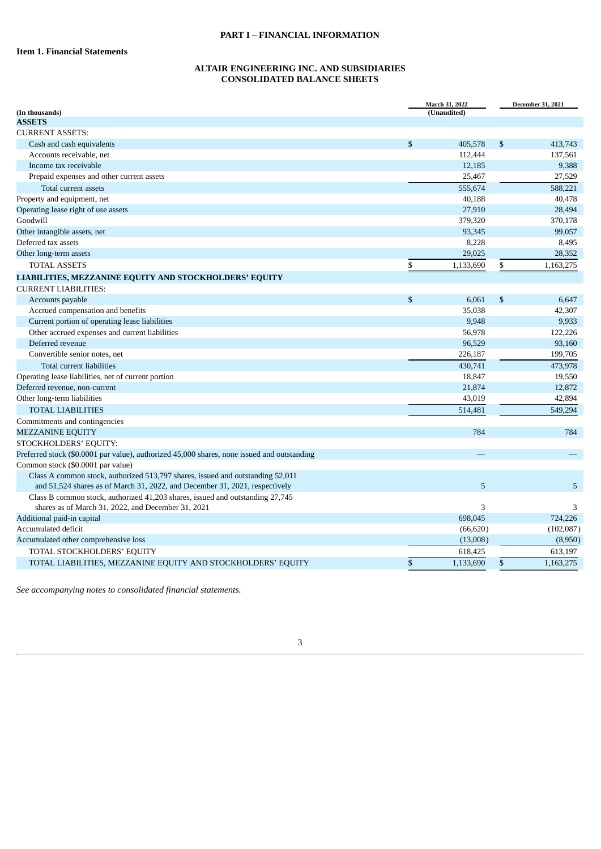# **PART I – FINANCIAL INFORMATION**

## **ALTAIR ENGINEERING INC. AND SUBSIDIARIES CONSOLIDATED BALANCE SHEETS**

<span id="page-2-2"></span><span id="page-2-1"></span><span id="page-2-0"></span>

|                                                                                                                                                               |              | March 31, 2022 |              | <b>December 31, 2021</b> |  |
|---------------------------------------------------------------------------------------------------------------------------------------------------------------|--------------|----------------|--------------|--------------------------|--|
| (In thousands)                                                                                                                                                |              | (Unaudited)    |              |                          |  |
| <b>ASSETS</b>                                                                                                                                                 |              |                |              |                          |  |
| <b>CURRENT ASSETS:</b>                                                                                                                                        |              |                |              |                          |  |
| Cash and cash equivalents                                                                                                                                     | \$           | 405,578        | \$           | 413,743                  |  |
| Accounts receivable, net                                                                                                                                      |              | 112,444        |              | 137,561                  |  |
| Income tax receivable                                                                                                                                         |              | 12,185         |              | 9,388                    |  |
| Prepaid expenses and other current assets                                                                                                                     |              | 25,467         |              | 27,529                   |  |
| Total current assets                                                                                                                                          |              | 555,674        |              | 588,221                  |  |
| Property and equipment, net                                                                                                                                   |              | 40,188         |              | 40,478                   |  |
| Operating lease right of use assets                                                                                                                           |              | 27,910         |              | 28,494                   |  |
| Goodwill                                                                                                                                                      |              | 379,320        |              | 370,178                  |  |
| Other intangible assets, net                                                                                                                                  |              | 93,345         |              | 99,057                   |  |
| Deferred tax assets                                                                                                                                           |              | 8,228          |              | 8,495                    |  |
| Other long-term assets                                                                                                                                        |              | 29,025         |              | 28,352                   |  |
| TOTAL ASSETS                                                                                                                                                  | \$           | 1,133,690      | \$           | 1,163,275                |  |
| <b>LIABILITIES, MEZZANINE EQUITY AND STOCKHOLDERS' EQUITY</b>                                                                                                 |              |                |              |                          |  |
| <b>CURRENT LIABILITIES:</b>                                                                                                                                   |              |                |              |                          |  |
| Accounts payable                                                                                                                                              | \$           | 6,061          | \$           | 6,647                    |  |
| Accrued compensation and benefits                                                                                                                             |              | 35,038         |              | 42,307                   |  |
| Current portion of operating lease liabilities                                                                                                                |              | 9,948          |              | 9,933                    |  |
| Other accrued expenses and current liabilities                                                                                                                |              | 56,978         |              | 122,226                  |  |
| Deferred revenue                                                                                                                                              |              | 96,529         |              | 93,160                   |  |
| Convertible senior notes, net                                                                                                                                 |              | 226,187        |              | 199,705                  |  |
| Total current liabilities                                                                                                                                     |              | 430,741        |              | 473,978                  |  |
| Operating lease liabilities, net of current portion                                                                                                           |              | 18,847         |              | 19,550                   |  |
| Deferred revenue, non-current                                                                                                                                 |              | 21,874         |              | 12,872                   |  |
| Other long-term liabilities                                                                                                                                   |              | 43,019         |              | 42,894                   |  |
| <b>TOTAL LIABILITIES</b>                                                                                                                                      |              | 514,481        |              | 549,294                  |  |
|                                                                                                                                                               |              |                |              |                          |  |
| Commitments and contingencies                                                                                                                                 |              | 784            |              | 784                      |  |
| MEZZANINE EQUITY<br>STOCKHOLDERS' EQUITY:                                                                                                                     |              |                |              |                          |  |
|                                                                                                                                                               |              |                |              |                          |  |
| Preferred stock (\$0.0001 par value), authorized 45,000 shares, none issued and outstanding                                                                   |              |                |              |                          |  |
| Common stock (\$0.0001 par value)                                                                                                                             |              |                |              |                          |  |
| Class A common stock, authorized 513,797 shares, issued and outstanding 52,011<br>and 51,524 shares as of March 31, 2022, and December 31, 2021, respectively |              | 5              |              | 5                        |  |
| Class B common stock, authorized 41,203 shares, issued and outstanding 27,745                                                                                 |              |                |              |                          |  |
| shares as of March 31, 2022, and December 31, 2021                                                                                                            |              | 3              |              | 3                        |  |
| Additional paid-in capital                                                                                                                                    |              | 698,045        |              | 724,226                  |  |
| Accumulated deficit                                                                                                                                           |              | (66, 620)      |              | (102,087)                |  |
| Accumulated other comprehensive loss                                                                                                                          |              | (13,008)       |              | (8,950)                  |  |
|                                                                                                                                                               |              |                |              | 613,197                  |  |
| TOTAL STOCKHOLDERS' EQUITY                                                                                                                                    |              | 618,425        |              |                          |  |
| TOTAL LIABILITIES, MEZZANINE EQUITY AND STOCKHOLDERS' EQUITY                                                                                                  | $\mathbb{S}$ | 1,133,690      | $\mathbb{S}$ | 1,163,275                |  |

*See accompanying notes to consolidated financial statements.*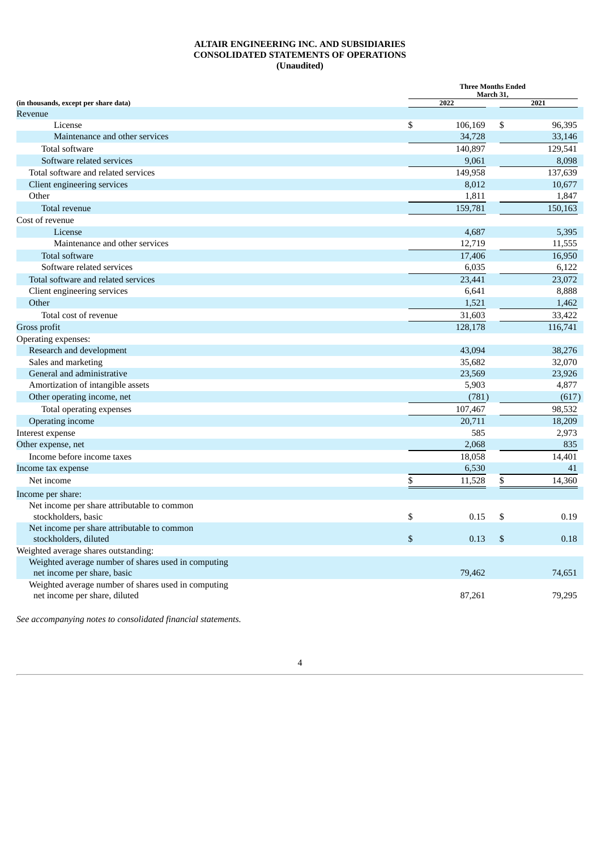# **ALTAIR ENGINEERING INC. AND SUBSIDIARIES CONSOLIDATED STATEMENTS OF OPERATIONS (Unaudited)**

<span id="page-3-0"></span>

|                                                     | <b>Three Months Ended</b><br>March 31, |         |    |         |  |  |
|-----------------------------------------------------|----------------------------------------|---------|----|---------|--|--|
| (in thousands, except per share data)               |                                        | 2022    |    | 2021    |  |  |
| Revenue                                             |                                        |         |    |         |  |  |
| License                                             | \$                                     | 106,169 | \$ | 96,395  |  |  |
| Maintenance and other services                      |                                        | 34,728  |    | 33,146  |  |  |
| Total software                                      |                                        | 140,897 |    | 129,541 |  |  |
| Software related services                           |                                        | 9,061   |    | 8,098   |  |  |
| Total software and related services                 |                                        | 149,958 |    | 137,639 |  |  |
| Client engineering services                         |                                        | 8,012   |    | 10,677  |  |  |
| Other                                               |                                        | 1,811   |    | 1,847   |  |  |
| Total revenue                                       |                                        | 159,781 |    | 150,163 |  |  |
| Cost of revenue                                     |                                        |         |    |         |  |  |
| License                                             |                                        | 4,687   |    | 5,395   |  |  |
| Maintenance and other services                      |                                        | 12,719  |    | 11,555  |  |  |
| <b>Total software</b>                               |                                        | 17,406  |    | 16,950  |  |  |
| Software related services                           |                                        | 6,035   |    | 6,122   |  |  |
| Total software and related services                 |                                        | 23,441  |    | 23,072  |  |  |
| Client engineering services                         |                                        | 6,641   |    | 8,888   |  |  |
| Other                                               |                                        | 1,521   |    | 1,462   |  |  |
| Total cost of revenue                               |                                        | 31,603  |    | 33,422  |  |  |
| Gross profit                                        |                                        | 128,178 |    | 116,741 |  |  |
| Operating expenses:                                 |                                        |         |    |         |  |  |
| Research and development                            |                                        | 43,094  |    | 38,276  |  |  |
| Sales and marketing                                 |                                        | 35,682  |    | 32,070  |  |  |
| General and administrative                          |                                        | 23,569  |    | 23,926  |  |  |
| Amortization of intangible assets                   |                                        | 5,903   |    | 4,877   |  |  |
| Other operating income, net                         |                                        | (781)   |    | (617)   |  |  |
| Total operating expenses                            |                                        | 107,467 |    | 98,532  |  |  |
| Operating income                                    |                                        | 20,711  |    | 18,209  |  |  |
| Interest expense                                    |                                        | 585     |    | 2,973   |  |  |
| Other expense, net                                  |                                        | 2,068   |    | 835     |  |  |
| Income before income taxes                          |                                        | 18,058  |    | 14,401  |  |  |
| Income tax expense                                  |                                        | 6,530   |    | 41      |  |  |
| Net income                                          | \$                                     | 11,528  | \$ | 14,360  |  |  |
| Income per share:                                   |                                        |         |    |         |  |  |
| Net income per share attributable to common         |                                        |         |    |         |  |  |
| stockholders, basic                                 | \$                                     | 0.15    | \$ | 0.19    |  |  |
| Net income per share attributable to common         |                                        |         |    |         |  |  |
| stockholders, diluted                               | \$                                     | 0.13    | \$ | 0.18    |  |  |
| Weighted average shares outstanding:                |                                        |         |    |         |  |  |
| Weighted average number of shares used in computing |                                        |         |    |         |  |  |
| net income per share, basic                         |                                        | 79,462  |    | 74,651  |  |  |
| Weighted average number of shares used in computing |                                        |         |    |         |  |  |
| net income per share, diluted                       |                                        | 87,261  |    | 79,295  |  |  |
|                                                     |                                        |         |    |         |  |  |

*See accompanying notes to consolidated financial statements.*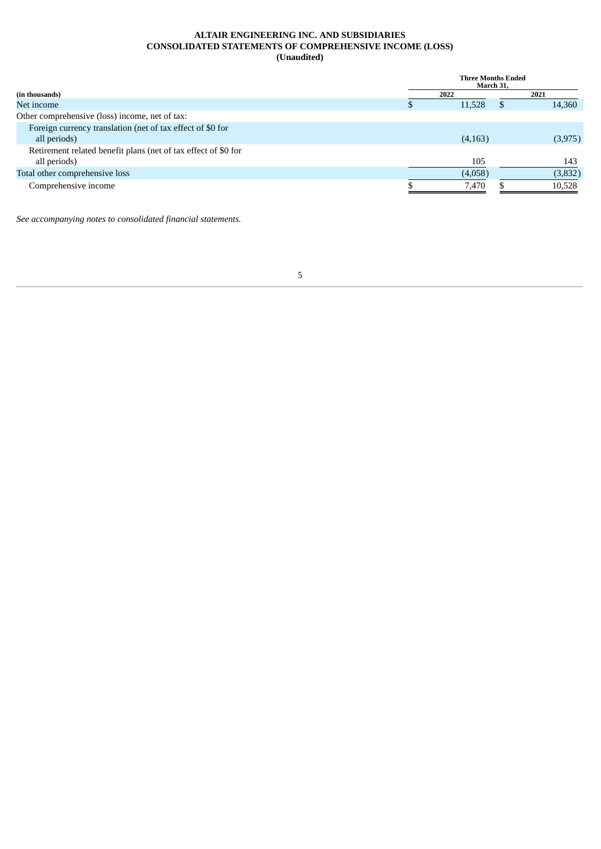# **ALTAIR ENGINEERING INC. AND SUBSIDIARIES CONSOLIDATED STATEMENTS OF COMPREHENSIVE INCOME (LOSS) (Unaudited)**

<span id="page-4-0"></span>

|                                                                | <b>Three Months Ended</b><br>March 31, |          |  |          |  |  |  |
|----------------------------------------------------------------|----------------------------------------|----------|--|----------|--|--|--|
| (in thousands)                                                 |                                        | 2022     |  | 2021     |  |  |  |
| Net income                                                     |                                        | 11,528   |  | 14,360   |  |  |  |
| Other comprehensive (loss) income, net of tax:                 |                                        |          |  |          |  |  |  |
| Foreign currency translation (net of tax effect of \$0 for     |                                        |          |  |          |  |  |  |
| all periods)                                                   |                                        | (4, 163) |  | (3,975)  |  |  |  |
| Retirement related benefit plans (net of tax effect of \$0 for |                                        |          |  |          |  |  |  |
| all periods)                                                   |                                        | 105      |  | 143      |  |  |  |
| Total other comprehensive loss                                 |                                        | (4,058)  |  | (3, 832) |  |  |  |
| Comprehensive income                                           |                                        | 7.470    |  | 10,528   |  |  |  |

*See accompanying notes to consolidated financial statements.*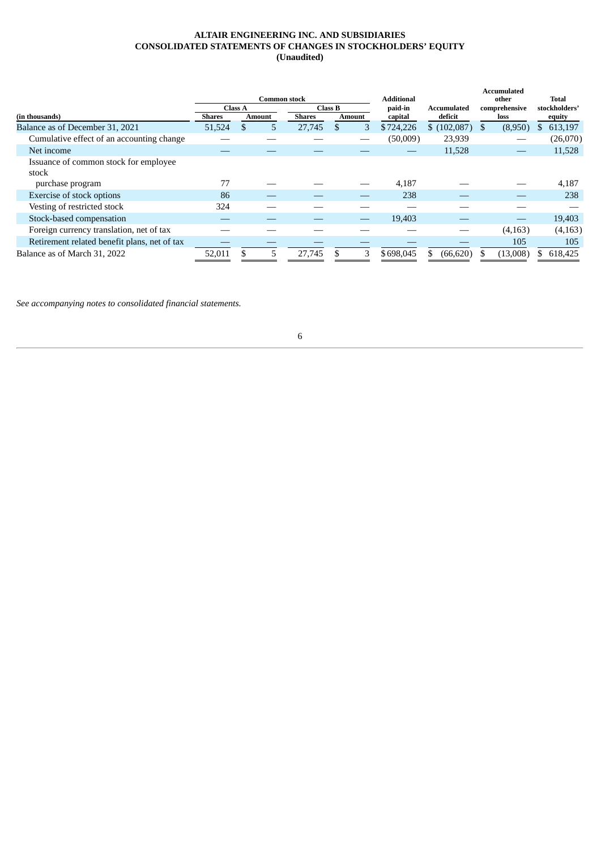## **ALTAIR ENGINEERING INC. AND SUBSIDIARIES CONSOLIDATED STATEMENTS OF CHANGES IN STOCKHOLDERS' EQUITY (Unaudited)**

<span id="page-5-0"></span>

|               |  |                |                |                     |   | <b>Additional</b> |                 | <b>Accumulated</b><br>other | Total         |
|---------------|--|----------------|----------------|---------------------|---|-------------------|-----------------|-----------------------------|---------------|
|               |  |                | <b>Class B</b> |                     |   | paid-in           | Accumulated     | comprehensive               | stockholders' |
| <b>Shares</b> |  |                | <b>Shares</b>  | Amount              |   | capital           | deficit         | loss                        | equity        |
| 51,524        |  | 5              | 27,745         |                     | 3 | \$724,226         | \$(102,087)     | (8,950)<br>-S               | 613,197<br>\$ |
|               |  |                |                |                     |   | (50,009)          | 23,939          |                             | (26,070)      |
|               |  |                |                |                     |   |                   | 11,528          |                             | 11,528        |
|               |  |                |                |                     |   |                   |                 |                             |               |
|               |  |                |                |                     |   |                   |                 |                             |               |
| 77            |  |                |                |                     |   | 4,187             |                 |                             | 4,187         |
| 86            |  |                |                |                     |   | 238               |                 |                             | 238           |
| 324           |  |                |                |                     |   |                   |                 |                             |               |
|               |  |                |                |                     |   | 19,403            |                 |                             | 19,403        |
|               |  |                |                |                     |   |                   |                 | (4, 163)                    | (4,163)       |
|               |  |                |                |                     |   |                   |                 | 105                         | 105           |
| 52,011        |  | .,             | 27,745         |                     | 3 | \$698,045         | (66, 620)<br>S. | (13,008)                    | 618,425       |
|               |  | <b>Class A</b> | Amount         | <b>Common stock</b> |   |                   |                 |                             |               |

*See accompanying notes to consolidated financial statements.*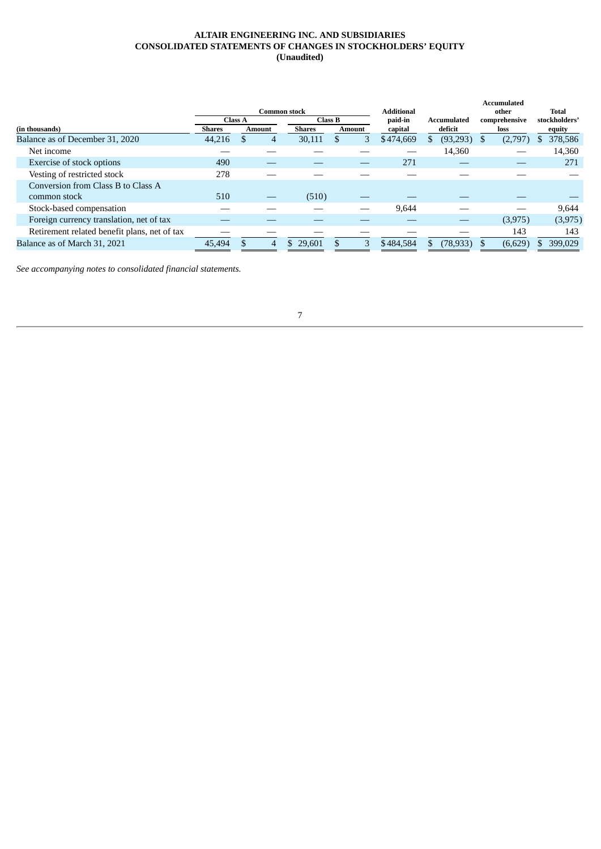## **ALTAIR ENGINEERING INC. AND SUBSIDIARIES CONSOLIDATED STATEMENTS OF CHANGES IN STOCKHOLDERS' EQUITY (Unaudited)**

|                                              |               |                | <b>Common stock</b> |                | <b>Additional</b> |             | <b>Accumulated</b><br>other | Total         |
|----------------------------------------------|---------------|----------------|---------------------|----------------|-------------------|-------------|-----------------------------|---------------|
|                                              |               | <b>Class A</b> |                     | <b>Class B</b> |                   | Accumulated | comprehensive               | stockholders' |
| (in thousands)                               | <b>Shares</b> | Amount         | <b>Shares</b>       | Amount         | capital           | deficit     | loss                        | equity        |
| Balance as of December 31, 2020              | 44,216        | 4              | 30,111              | 3<br>Ъ         | \$474,669         | (93, 293)   | (2,797)<br>S                | 378,586<br>S  |
| Net income                                   |               |                |                     |                |                   | 14,360      |                             | 14,360        |
| Exercise of stock options                    | 490           |                |                     |                | 271               |             |                             | 271           |
| Vesting of restricted stock                  | 278           |                |                     |                |                   |             |                             |               |
| Conversion from Class B to Class A           |               |                |                     |                |                   |             |                             |               |
| common stock                                 | 510           |                | (510)               |                |                   |             |                             |               |
| Stock-based compensation                     |               |                |                     |                | 9,644             |             |                             | 9,644         |
| Foreign currency translation, net of tax     |               |                |                     |                |                   |             | (3,975)                     | (3,975)       |
| Retirement related benefit plans, net of tax |               |                |                     |                |                   |             | 143                         | 143           |
| Balance as of March 31, 2021                 | 45.494        | 4              | 29.601              | 3              | \$484.584         | (78, 933)   | (6,629)                     | 399,029       |

*See accompanying notes to consolidated financial statements.*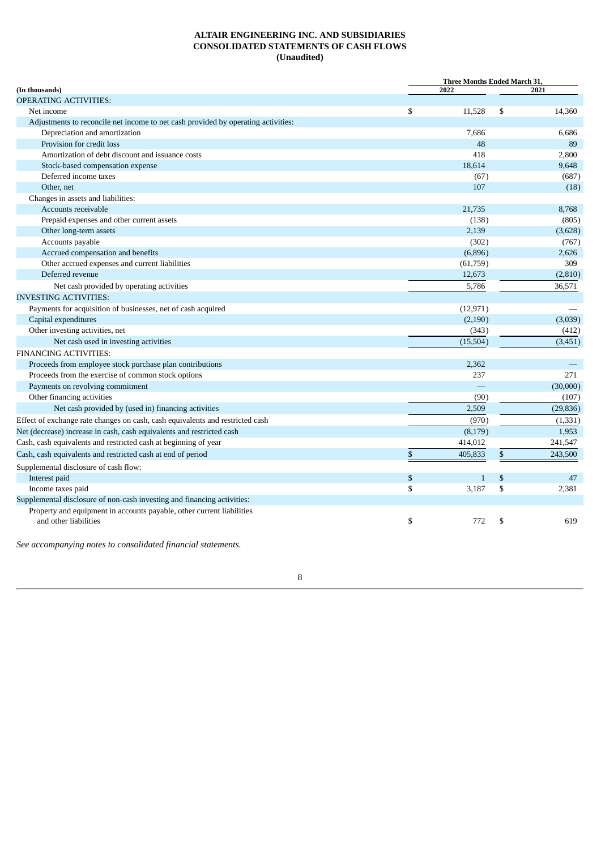# **ALTAIR ENGINEERING INC. AND SUBSIDIARIES CONSOLIDATED STATEMENTS OF CASH FLOWS (Unaudited)**

<span id="page-7-0"></span>

|                                                                                   |    |              | Three Months Ended March 31, |           |  |  |
|-----------------------------------------------------------------------------------|----|--------------|------------------------------|-----------|--|--|
| (In thousands)                                                                    |    | 2022         |                              | 2021      |  |  |
| <b>OPERATING ACTIVITIES:</b>                                                      |    |              |                              |           |  |  |
| Net income                                                                        | \$ | 11,528       | \$                           | 14,360    |  |  |
| Adjustments to reconcile net income to net cash provided by operating activities: |    |              |                              |           |  |  |
| Depreciation and amortization                                                     |    | 7,686        |                              | 6,686     |  |  |
| Provision for credit loss                                                         |    | 48           |                              | 89        |  |  |
| Amortization of debt discount and issuance costs                                  |    | 418          |                              | 2,800     |  |  |
| Stock-based compensation expense                                                  |    | 18,614       |                              | 9,648     |  |  |
| Deferred income taxes                                                             |    | (67)         |                              | (687)     |  |  |
| Other, net                                                                        |    | 107          |                              | (18)      |  |  |
| Changes in assets and liabilities:                                                |    |              |                              |           |  |  |
| Accounts receivable                                                               |    | 21,735       |                              | 8,768     |  |  |
| Prepaid expenses and other current assets                                         |    | (138)        |                              | (805)     |  |  |
| Other long-term assets                                                            |    | 2,139        |                              | (3,628)   |  |  |
| Accounts payable                                                                  |    | (302)        |                              | (767)     |  |  |
| Accrued compensation and benefits                                                 |    | (6,896)      |                              | 2,626     |  |  |
| Other accrued expenses and current liabilities                                    |    | (61,759)     |                              | 309       |  |  |
| Deferred revenue                                                                  |    | 12,673       |                              | (2,810)   |  |  |
| Net cash provided by operating activities                                         |    | 5,786        |                              | 36,571    |  |  |
| <b>INVESTING ACTIVITIES:</b>                                                      |    |              |                              |           |  |  |
| Payments for acquisition of businesses, net of cash acquired                      |    | (12, 971)    |                              |           |  |  |
| Capital expenditures                                                              |    | (2,190)      |                              | (3,039)   |  |  |
| Other investing activities, net                                                   |    | (343)        |                              | (412)     |  |  |
| Net cash used in investing activities                                             |    | (15,504)     |                              | (3,451)   |  |  |
| <b>FINANCING ACTIVITIES:</b>                                                      |    |              |                              |           |  |  |
| Proceeds from employee stock purchase plan contributions                          |    | 2,362        |                              |           |  |  |
| Proceeds from the exercise of common stock options                                |    | 237          |                              | 271       |  |  |
| Payments on revolving commitment                                                  |    |              |                              | (30,000)  |  |  |
| Other financing activities                                                        |    | (90)         |                              | (107)     |  |  |
| Net cash provided by (used in) financing activities                               |    | 2,509        |                              | (29, 836) |  |  |
| Effect of exchange rate changes on cash, cash equivalents and restricted cash     |    | (970)        |                              | (1, 331)  |  |  |
| Net (decrease) increase in cash, cash equivalents and restricted cash             |    | (8,179)      |                              | 1,953     |  |  |
| Cash, cash equivalents and restricted cash at beginning of year                   |    | 414,012      |                              | 241,547   |  |  |
| Cash, cash equivalents and restricted cash at end of period                       | \$ | 405,833      | \$                           | 243,500   |  |  |
| Supplemental disclosure of cash flow:                                             |    |              |                              |           |  |  |
| Interest paid                                                                     | \$ | $\mathbf{1}$ | \$                           | 47        |  |  |
| Income taxes paid                                                                 | \$ | 3,187        | \$                           | 2,381     |  |  |
| Supplemental disclosure of non-cash investing and financing activities:           |    |              |                              |           |  |  |
| Property and equipment in accounts payable, other current liabilities             |    |              |                              |           |  |  |
| and other liabilities                                                             | \$ | 772          | \$                           | 619       |  |  |

*See accompanying notes to consolidated financial statements.*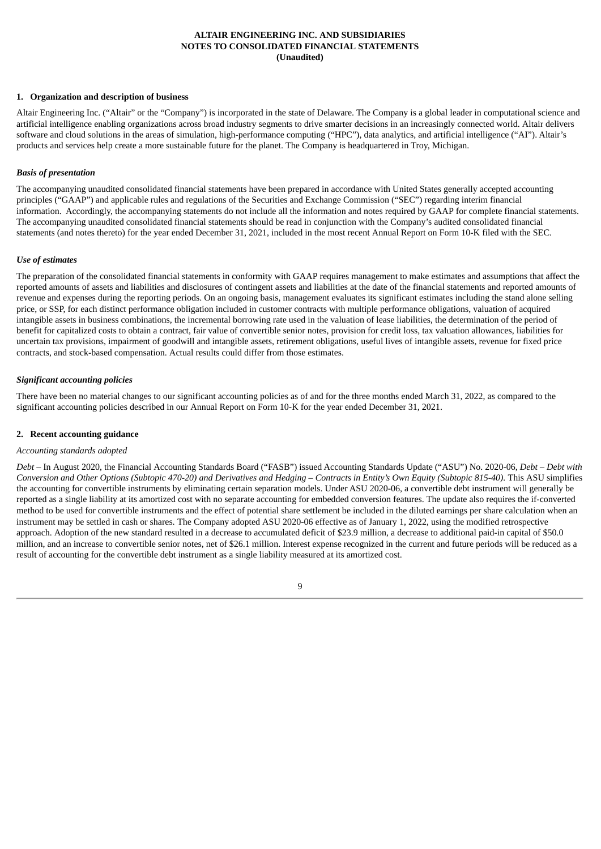## **ALTAIR ENGINEERING INC. AND SUBSIDIARIES NOTES TO CONSOLIDATED FINANCIAL STATEMENTS (Unaudited)**

#### <span id="page-8-0"></span>**1. Organization and description of business**

Altair Engineering Inc. ("Altair" or the "Company") is incorporated in the state of Delaware. The Company is a global leader in computational science and artificial intelligence enabling organizations across broad industry segments to drive smarter decisions in an increasingly connected world. Altair delivers software and cloud solutions in the areas of simulation, high-performance computing ("HPC"), data analytics, and artificial intelligence ("AI"). Altair's products and services help create a more sustainable future for the planet. The Company is headquartered in Troy, Michigan.

#### *Basis of presentation*

The accompanying unaudited consolidated financial statements have been prepared in accordance with United States generally accepted accounting principles ("GAAP") and applicable rules and regulations of the Securities and Exchange Commission ("SEC") regarding interim financial information. Accordingly, the accompanying statements do not include all the information and notes required by GAAP for complete financial statements. The accompanying unaudited consolidated financial statements should be read in conjunction with the Company's audited consolidated financial statements (and notes thereto) for the year ended December 31, 2021, included in the most recent Annual Report on Form 10-K filed with the SEC.

#### *Use of estimates*

The preparation of the consolidated financial statements in conformity with GAAP requires management to make estimates and assumptions that affect the reported amounts of assets and liabilities and disclosures of contingent assets and liabilities at the date of the financial statements and reported amounts of revenue and expenses during the reporting periods. On an ongoing basis, management evaluates its significant estimates including the stand alone selling price, or SSP, for each distinct performance obligation included in customer contracts with multiple performance obligations, valuation of acquired intangible assets in business combinations, the incremental borrowing rate used in the valuation of lease liabilities, the determination of the period of benefit for capitalized costs to obtain a contract, fair value of convertible senior notes, provision for credit loss, tax valuation allowances, liabilities for uncertain tax provisions, impairment of goodwill and intangible assets, retirement obligations, useful lives of intangible assets, revenue for fixed price contracts, and stock-based compensation. Actual results could differ from those estimates.

### *Significant accounting policies*

There have been no material changes to our significant accounting policies as of and for the three months ended March 31, 2022, as compared to the significant accounting policies described in our Annual Report on Form 10-K for the year ended December 31, 2021.

#### **2. Recent accounting guidance**

#### *Accounting standards adopted*

*Debt* – In August 2020, the Financial Accounting Standards Board ("FASB") issued Accounting Standards Update ("ASU") No. 2020-06, *Debt – Debt with* Conversion and Other Options (Subtopic 470-20) and Derivatives and Hedging - Contracts in Entity's Own Equity (Subtopic 815-40). This ASU simplifies the accounting for convertible instruments by eliminating certain separation models. Under ASU 2020*-*06*,* a convertible debt instrument will generally be reported as a single liability at its amortized cost with no separate accounting for embedded conversion features. The update also requires the if-converted method to be used for convertible instruments and the effect of potential share settlement be included in the diluted earnings per share calculation when an instrument may be settled in cash or shares. The Company adopted ASU 2020-06 effective as of January 1, 2022, using the modified retrospective approach. Adoption of the new standard resulted in a decrease to accumulated deficit of \$23.9 million, a decrease to additional paid-in capital of \$50.0 million, and an increase to convertible senior notes, net of \$26.1 million. Interest expense recognized in the current and future periods will be reduced as a result of accounting for the convertible debt instrument as a single liability measured at its amortized cost.

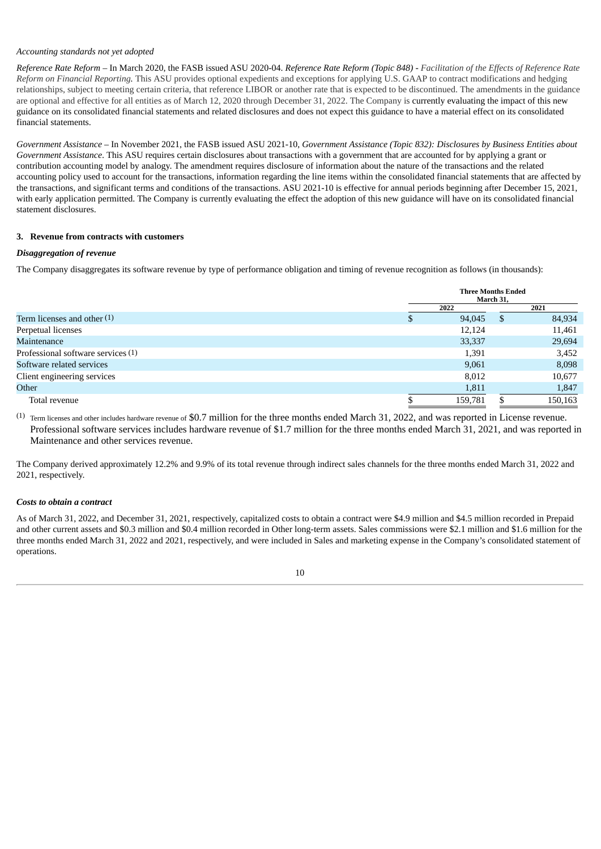## *Accounting standards not yet adopted*

Reference Rate Reform - In March 2020, the FASB issued ASU 2020-04. Reference Rate Reform (Topic 848) - Facilitation of the Effects of Reference Rate *Reform on Financial Reporting.* This ASU provides optional expedients and exceptions for applying U.S. GAAP to contract modifications and hedging relationships, subject to meeting certain criteria, that reference LIBOR or another rate that is expected to be discontinued. The amendments in the guidance are optional and effective for all entities as of March 12, 2020 through December 31, 2022. The Company is currently evaluating the impact of this new guidance on its consolidated financial statements and related disclosures and does not expect this guidance to have a material effect on its consolidated financial statements.

*Government Assistance* – In November 2021, the FASB issued ASU 2021-10, *Government Assistance (Topic 832): Disclosures by Business Entities about Government Assistance*. This ASU requires certain disclosures about transactions with a government that are accounted for by applying a grant or contribution accounting model by analogy. The amendment requires disclosure of information about the nature of the transactions and the related accounting policy used to account for the transactions, information regarding the line items within the consolidated financial statements that are affected by the transactions, and significant terms and conditions of the transactions. ASU 2021-10 is effective for annual periods beginning after December 15, 2021, with early application permitted. The Company is currently evaluating the effect the adoption of this new guidance will have on its consolidated financial statement disclosures.

## **3. Revenue from contracts with customers**

#### *Disaggregation of revenue*

The Company disaggregates its software revenue by type of performance obligation and timing of revenue recognition as follows (in thousands):

|                                    |   | <b>Three Months Ended</b><br>March 31, |   |         |  |
|------------------------------------|---|----------------------------------------|---|---------|--|
|                                    |   | 2022                                   |   | 2021    |  |
| Term licenses and other $(1)$      | D | 94,045                                 | S | 84,934  |  |
| Perpetual licenses                 |   | 12,124                                 |   | 11,461  |  |
| Maintenance                        |   | 33,337                                 |   | 29,694  |  |
| Professional software services (1) |   | 1,391                                  |   | 3,452   |  |
| Software related services          |   | 9,061                                  |   | 8,098   |  |
| Client engineering services        |   | 8,012                                  |   | 10,677  |  |
| Other                              |   | 1,811                                  |   | 1,847   |  |
| Total revenue                      |   | 159,781                                |   | 150,163 |  |

 $<sup>(1)</sup>$  Term licenses and other includes hardware revenue of \$0.7 million for the three months ended March 31, 2022, and was reported in License revenue.</sup> Professional software services includes hardware revenue of \$1.7 million for the three months ended March 31, 2021, and was reported in Maintenance and other services revenue.

The Company derived approximately 12.2% and 9.9% of its total revenue through indirect sales channels for the three months ended March 31, 2022 and 2021, respectively.

## *Costs to obtain a contract*

As of March 31, 2022, and December 31, 2021, respectively, capitalized costs to obtain a contract were \$4.9 million and \$4.5 million recorded in Prepaid and other current assets and \$0.3 million and \$0.4 million recorded in Other long-term assets. Sales commissions were \$2.1 million and \$1.6 million for the three months ended March 31, 2022 and 2021, respectively, and were included in Sales and marketing expense in the Company's consolidated statement of operations.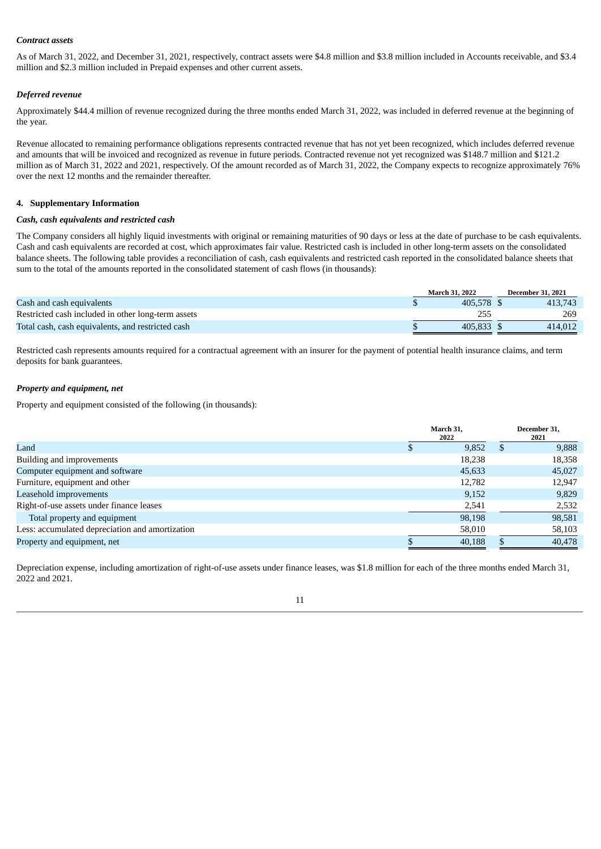## *Contract assets*

As of March 31, 2022, and December 31, 2021, respectively, contract assets were \$4.8 million and \$3.8 million included in Accounts receivable, and \$3.4 million and \$2.3 million included in Prepaid expenses and other current assets.

## *Deferred revenue*

Approximately \$44.4 million of revenue recognized during the three months ended March 31, 2022, was included in deferred revenue at the beginning of the year.

Revenue allocated to remaining performance obligations represents contracted revenue that has not yet been recognized, which includes deferred revenue and amounts that will be invoiced and recognized as revenue in future periods. Contracted revenue not yet recognized was \$148.7 million and \$121.2 million as of March 31, 2022 and 2021, respectively. Of the amount recorded as of March 31, 2022, the Company expects to recognize approximately 76% over the next 12 months and the remainder thereafter.

## **4. Supplementary Information**

#### *Cash, cash equivalents and restricted cash*

The Company considers all highly liquid investments with original or remaining maturities of 90 days or less at the date of purchase to be cash equivalents. Cash and cash equivalents are recorded at cost, which approximates fair value. Restricted cash is included in other long-term assets on the consolidated balance sheets. The following table provides a reconciliation of cash, cash equivalents and restricted cash reported in the consolidated balance sheets that sum to the total of the amounts reported in the consolidated statement of cash flows (in thousands):

|                                                    | March 31, 2022 |  | <b>December 31, 2021</b> |
|----------------------------------------------------|----------------|--|--------------------------|
| Cash and cash equivalents                          | 405.578        |  | 413.743                  |
| Restricted cash included in other long-term assets |                |  | 269                      |
| Total cash, cash equivalents, and restricted cash  | 405.833        |  | 414.012                  |

Restricted cash represents amounts required for a contractual agreement with an insurer for the payment of potential health insurance claims, and term deposits for bank guarantees.

#### *Property and equipment, net*

Property and equipment consisted of the following (in thousands):

|                                                 | March 31,<br>2022 |        |    | December 31,<br>2021 |  |
|-------------------------------------------------|-------------------|--------|----|----------------------|--|
| Land                                            |                   | 9,852  | -S | 9,888                |  |
| Building and improvements                       |                   | 18,238 |    | 18,358               |  |
| Computer equipment and software                 |                   | 45,633 |    | 45,027               |  |
| Furniture, equipment and other                  |                   | 12,782 |    | 12,947               |  |
| Leasehold improvements                          |                   | 9,152  |    | 9,829                |  |
| Right-of-use assets under finance leases        |                   | 2,541  |    | 2,532                |  |
| Total property and equipment                    |                   | 98,198 |    | 98,581               |  |
| Less: accumulated depreciation and amortization |                   | 58,010 |    | 58,103               |  |
| Property and equipment, net                     |                   | 40,188 |    | 40,478               |  |

Depreciation expense, including amortization of right-of-use assets under finance leases, was \$1.8 million for each of the three months ended March 31, 2022 and 2021.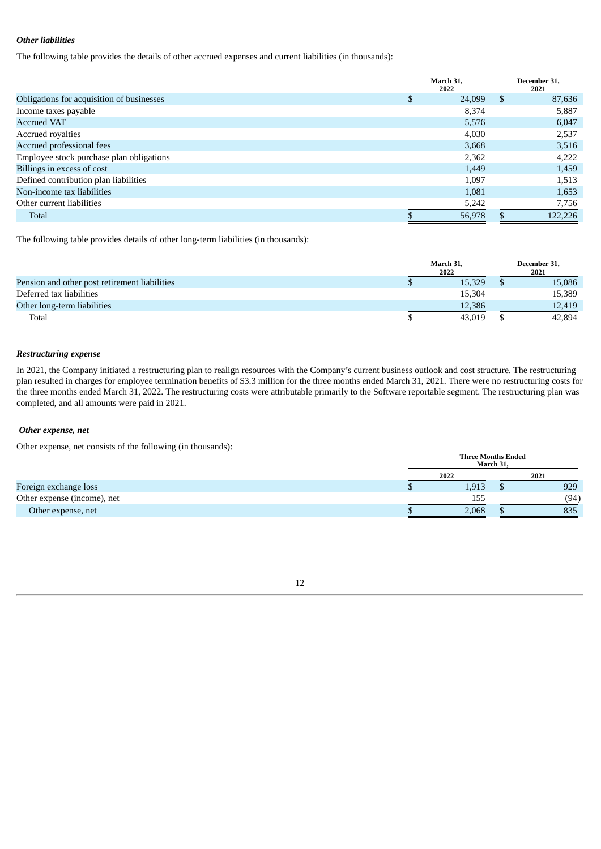# *Other liabilities*

The following table provides the details of other accrued expenses and current liabilities (in thousands):

|                                           |   | March 31,<br>2022 |     | December 31.<br>2021 |
|-------------------------------------------|---|-------------------|-----|----------------------|
| Obligations for acquisition of businesses | D | 24,099            | \$. | 87,636               |
| Income taxes payable                      |   | 8,374             |     | 5,887                |
| <b>Accrued VAT</b>                        |   | 5,576             |     | 6,047                |
| Accrued royalties                         |   | 4.030             |     | 2,537                |
| Accrued professional fees                 |   | 3,668             |     | 3,516                |
| Employee stock purchase plan obligations  |   | 2,362             |     | 4,222                |
| Billings in excess of cost                |   | 1,449             |     | 1,459                |
| Defined contribution plan liabilities     |   | 1,097             |     | 1,513                |
| Non-income tax liabilities                |   | 1,081             |     | 1,653                |
| Other current liabilities                 |   | 5,242             |     | 7,756                |
| <b>Total</b>                              |   | 56,978            |     | 122,226              |

The following table provides details of other long-term liabilities (in thousands):

|                                               | March 31.<br>2022 | December 31,<br>2021 |
|-----------------------------------------------|-------------------|----------------------|
| Pension and other post retirement liabilities | 15,329            | 15,086               |
| Deferred tax liabilities                      | 15,304            | 15,389               |
| Other long-term liabilities                   | 12,386            | 12,419               |
| Total                                         | 43.019            | 42.894               |

## *Restructuring expense*

In 2021, the Company initiated a restructuring plan to realign resources with the Company's current business outlook and cost structure. The restructuring plan resulted in charges for employee termination benefits of \$3.3 million for the three months ended March 31, 2021. There were no restructuring costs for the three months ended March 31, 2022. The restructuring costs were attributable primarily to the Software reportable segment. The restructuring plan was completed, and all amounts were paid in 2021.

## *Other expense, net*

Other expense, net consists of the following (in thousands):

| Other expense, net consists of the following (in thousands). | <b>Three Months Ended</b> | March 31, |      |
|--------------------------------------------------------------|---------------------------|-----------|------|
|                                                              | 2022                      |           | 2021 |
| Foreign exchange loss                                        | 1,913                     |           | 929  |
| Other expense (income), net                                  | 155                       |           | (94) |
| Other expense, net                                           | 2,068                     |           | 835  |

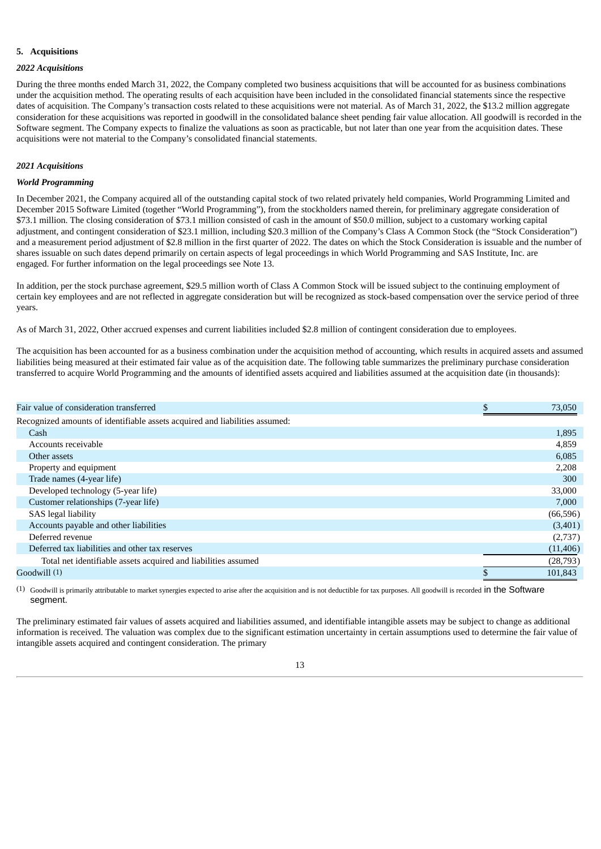### **5. Acquisitions**

#### *2022 Acquisitions*

During the three months ended March 31, 2022, the Company completed two business acquisitions that will be accounted for as business combinations under the acquisition method. The operating results of each acquisition have been included in the consolidated financial statements since the respective dates of acquisition. The Company's transaction costs related to these acquisitions were not material. As of March 31, 2022, the \$13.2 million aggregate consideration for these acquisitions was reported in goodwill in the consolidated balance sheet pending fair value allocation. All goodwill is recorded in the Software segment. The Company expects to finalize the valuations as soon as practicable, but not later than one year from the acquisition dates. These acquisitions were not material to the Company's consolidated financial statements.

#### *2021 Acquisitions*

## *World Programming*

In December 2021, the Company acquired all of the outstanding capital stock of two related privately held companies, World Programming Limited and December 2015 Software Limited (together "World Programming"), from the stockholders named therein, for preliminary aggregate consideration of \$73.1 million. The closing consideration of \$73.1 million consisted of cash in the amount of \$50.0 million, subject to a customary working capital adjustment, and contingent consideration of \$23.1 million, including \$20.3 million of the Company's Class A Common Stock (the "Stock Consideration") and a measurement period adjustment of \$2.8 million in the first quarter of 2022. The dates on which the Stock Consideration is issuable and the number of shares issuable on such dates depend primarily on certain aspects of legal proceedings in which World Programming and SAS Institute, Inc. are engaged. For further information on the legal proceedings see Note 13.

In addition, per the stock purchase agreement, \$29.5 million worth of Class A Common Stock will be issued subject to the continuing employment of certain key employees and are not reflected in aggregate consideration but will be recognized as stock-based compensation over the service period of three years.

As of March 31, 2022, Other accrued expenses and current liabilities included \$2.8 million of contingent consideration due to employees.

The acquisition has been accounted for as a business combination under the acquisition method of accounting, which results in acquired assets and assumed liabilities being measured at their estimated fair value as of the acquisition date. The following table summarizes the preliminary purchase consideration transferred to acquire World Programming and the amounts of identified assets acquired and liabilities assumed at the acquisition date (in thousands):

| Fair value of consideration transferred                                     | $\mathfrak{L}$ | 73,050    |
|-----------------------------------------------------------------------------|----------------|-----------|
| Recognized amounts of identifiable assets acquired and liabilities assumed: |                |           |
| Cash                                                                        |                | 1,895     |
| Accounts receivable                                                         |                | 4,859     |
| Other assets                                                                |                | 6,085     |
| Property and equipment                                                      |                | 2,208     |
| Trade names (4-year life)                                                   |                | 300       |
| Developed technology (5-year life)                                          |                | 33,000    |
| Customer relationships (7-year life)                                        |                | 7,000     |
| SAS legal liability                                                         |                | (66, 596) |
| Accounts payable and other liabilities                                      |                | (3,401)   |
| Deferred revenue                                                            |                | (2,737)   |
| Deferred tax liabilities and other tax reserves                             |                | (11, 406) |
| Total net identifiable assets acquired and liabilities assumed              |                | (28, 793) |
| Goodwill (1)                                                                |                | 101,843   |

(1) Goodwill is primarily attributable to market synergies expected to arise after the acquisition and is not deductible for tax purposes. All goodwill is recorded in the Software segment.

The preliminary estimated fair values of assets acquired and liabilities assumed, and identifiable intangible assets may be subject to change as additional information is received. The valuation was complex due to the significant estimation uncertainty in certain assumptions used to determine the fair value of intangible assets acquired and contingent consideration. The primary

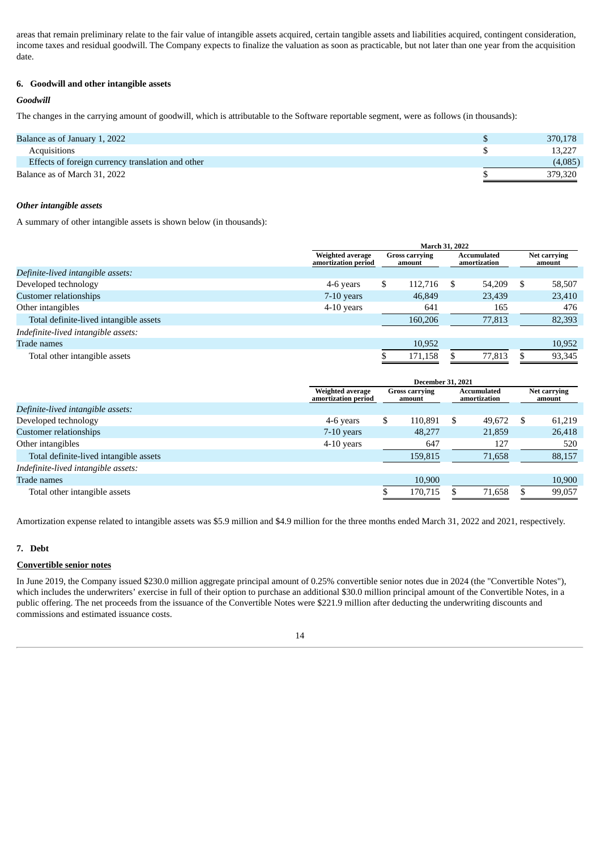areas that remain preliminary relate to the fair value of intangible assets acquired, certain tangible assets and liabilities acquired, contingent consideration, income taxes and residual goodwill. The Company expects to finalize the valuation as soon as practicable, but not later than one year from the acquisition date.

## **6. Goodwill and other intangible assets**

#### *Goodwill*

The changes in the carrying amount of goodwill, which is attributable to the Software reportable segment, were as follows (in thousands):

| Balance as of January 1, 2022                     | 370,178 |
|---------------------------------------------------|---------|
| Acquisitions                                      | 13.227  |
| Effects of foreign currency translation and other | (4,085) |
| Balance as of March 31, 2022                      | 379,320 |

## *Other intangible assets*

A summary of other intangible assets is shown below (in thousands):

|                                        | <b>March 31, 2022</b>                   |                                 |         |                             |        |    |                        |
|----------------------------------------|-----------------------------------------|---------------------------------|---------|-----------------------------|--------|----|------------------------|
|                                        | Weighted average<br>amortization period | <b>Gross carrying</b><br>amount |         | Accumulated<br>amortization |        |    | Net carrying<br>amount |
| Definite-lived intangible assets:      |                                         |                                 |         |                             |        |    |                        |
| Developed technology                   | 4-6 years                               | \$                              | 112,716 | S.                          | 54,209 | \$ | 58,507                 |
| <b>Customer relationships</b>          | $7-10$ years                            |                                 | 46,849  |                             | 23,439 |    | 23,410                 |
| Other intangibles                      | 4-10 years                              |                                 | 641     |                             | 165    |    | 476                    |
| Total definite-lived intangible assets |                                         |                                 | 160,206 |                             | 77,813 |    | 82,393                 |
| Indefinite-lived intangible assets:    |                                         |                                 |         |                             |        |    |                        |
| Trade names                            |                                         |                                 | 10,952  |                             |        |    | 10,952                 |
| Total other intangible assets          |                                         |                                 | 171,158 |                             | 77,813 |    | 93,345                 |

|                                        | <b>December 31, 2021</b>                |                                 |         |                             |        |  |        |  |                        |
|----------------------------------------|-----------------------------------------|---------------------------------|---------|-----------------------------|--------|--|--------|--|------------------------|
|                                        | Weighted average<br>amortization period | <b>Gross carrying</b><br>amount |         | Accumulated<br>amortization |        |  |        |  | Net carrying<br>amount |
| Definite-lived intangible assets:      |                                         |                                 |         |                             |        |  |        |  |                        |
| Developed technology                   | 4-6 years                               |                                 | 110.891 | S                           | 49.672 |  | 61.219 |  |                        |
| Customer relationships                 | $7-10$ years                            |                                 | 48,277  |                             | 21,859 |  | 26,418 |  |                        |
| Other intangibles                      | 4-10 years                              |                                 | 647     |                             | 127    |  | 520    |  |                        |
| Total definite-lived intangible assets |                                         |                                 | 159,815 |                             | 71,658 |  | 88,157 |  |                        |
| Indefinite-lived intangible assets:    |                                         |                                 |         |                             |        |  |        |  |                        |
| Trade names                            |                                         |                                 | 10,900  |                             |        |  | 10,900 |  |                        |
| Total other intangible assets          |                                         |                                 | 170.715 |                             | 71.658 |  | 99,057 |  |                        |

Amortization expense related to intangible assets was \$5.9 million and \$4.9 million for the three months ended March 31, 2022 and 2021, respectively.

## **7. Debt**

#### **Convertible senior notes**

In June 2019, the Company issued \$230.0 million aggregate principal amount of 0.25% convertible senior notes due in 2024 (the "Convertible Notes"), which includes the underwriters' exercise in full of their option to purchase an additional \$30.0 million principal amount of the Convertible Notes, in a public offering. The net proceeds from the issuance of the Convertible Notes were \$221.9 million after deducting the underwriting discounts and commissions and estimated issuance costs.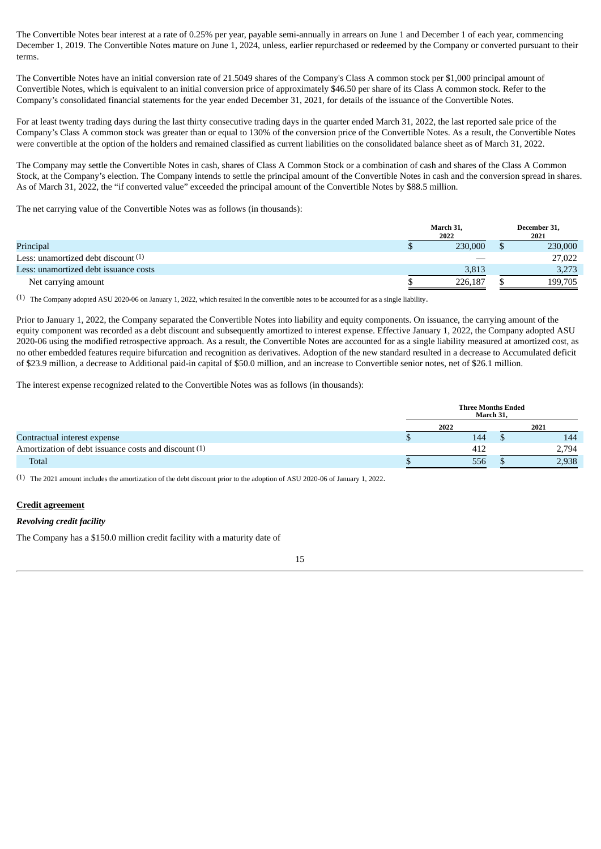The Convertible Notes bear interest at a rate of 0.25% per year, payable semi-annually in arrears on June 1 and December 1 of each year, commencing December 1, 2019. The Convertible Notes mature on June 1, 2024, unless, earlier repurchased or redeemed by the Company or converted pursuant to their terms.

The Convertible Notes have an initial conversion rate of 21.5049 shares of the Company's Class A common stock per \$1,000 principal amount of Convertible Notes, which is equivalent to an initial conversion price of approximately \$46.50 per share of its Class A common stock. Refer to the Company's consolidated financial statements for the year ended December 31, 2021, for details of the issuance of the Convertible Notes.

For at least twenty trading days during the last thirty consecutive trading days in the quarter ended March 31, 2022, the last reported sale price of the Company's Class A common stock was greater than or equal to 130% of the conversion price of the Convertible Notes. As a result, the Convertible Notes were convertible at the option of the holders and remained classified as current liabilities on the consolidated balance sheet as of March 31, 2022.

The Company may settle the Convertible Notes in cash, shares of Class A Common Stock or a combination of cash and shares of the Class A Common Stock, at the Company's election. The Company intends to settle the principal amount of the Convertible Notes in cash and the conversion spread in shares. As of March 31, 2022, the "if converted value" exceeded the principal amount of the Convertible Notes by \$88.5 million.

The net carrying value of the Convertible Notes was as follows (in thousands):

|                                       | March 31,<br>2022 | December 31,<br>2021 |
|---------------------------------------|-------------------|----------------------|
| Principal                             | 230,000           | 230,000              |
| Less: unamortized debt discount $(1)$ |                   | 27,022               |
| Less: unamortized debt issuance costs | 3,813             | 3,273                |
| Net carrying amount                   | 226.187           | 199,705              |

(1) The Company adopted ASU 2020-06 on January 1, 2022, which resulted in the convertible notes to be accounted for as a single liability.

Prior to January 1, 2022, the Company separated the Convertible Notes into liability and equity components. On issuance, the carrying amount of the equity component was recorded as a debt discount and subsequently amortized to interest expense. Effective January 1, 2022, the Company adopted ASU 2020-06 using the modified retrospective approach. As a result, the Convertible Notes are accounted for as a single liability measured at amortized cost, as no other embedded features require bifurcation and recognition as derivatives. Adoption of the new standard resulted in a decrease to Accumulated deficit of \$23.9 million, a decrease to Additional paid-in capital of \$50.0 million, and an increase to Convertible senior notes, net of \$26.1 million.

The interest expense recognized related to the Convertible Notes was as follows (in thousands):

|                                                      |      | <b>Three Months Ended</b><br>March 31, |  |       |  |  |
|------------------------------------------------------|------|----------------------------------------|--|-------|--|--|
|                                                      | 2022 |                                        |  | 2021  |  |  |
| Contractual interest expense                         |      | 144                                    |  | 144   |  |  |
| Amortization of debt issuance costs and discount (1) |      | 412                                    |  | 2,794 |  |  |
| Total                                                |      | 556                                    |  | 2,938 |  |  |

(1) The 2021 amount includes the amortization of the debt discount prior to the adoption of ASU 2020-06 of January 1, 2022.

## **Credit agreement**

## *Revolving credit facility*

The Company has a \$150.0 million credit facility with a maturity date of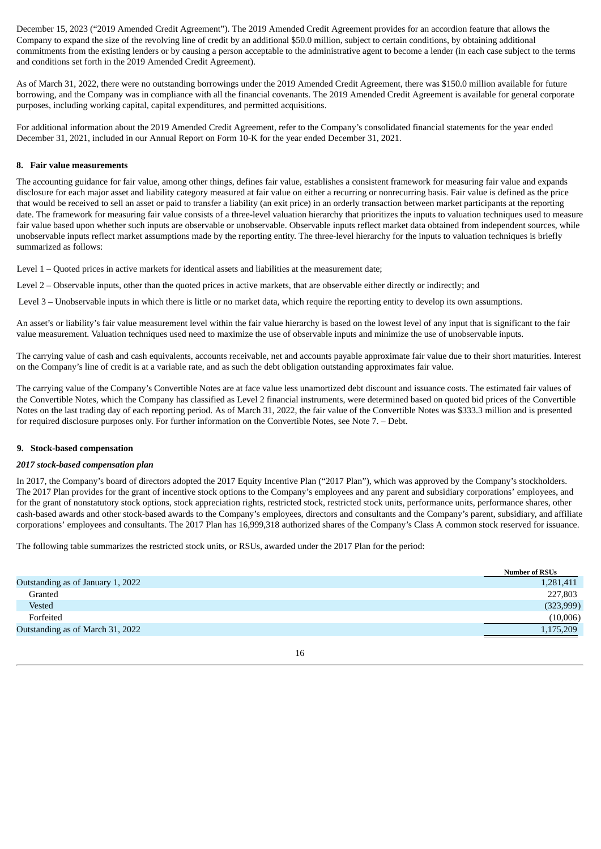December 15, 2023 ("2019 Amended Credit Agreement"). The 2019 Amended Credit Agreement provides for an accordion feature that allows the Company to expand the size of the revolving line of credit by an additional \$50.0 million, subject to certain conditions, by obtaining additional commitments from the existing lenders or by causing a person acceptable to the administrative agent to become a lender (in each case subject to the terms and conditions set forth in the 2019 Amended Credit Agreement).

As of March 31, 2022, there were no outstanding borrowings under the 2019 Amended Credit Agreement, there was \$150.0 million available for future borrowing, and the Company was in compliance with all the financial covenants. The 2019 Amended Credit Agreement is available for general corporate purposes, including working capital, capital expenditures, and permitted acquisitions.

For additional information about the 2019 Amended Credit Agreement, refer to the Company's consolidated financial statements for the year ended December 31, 2021, included in our Annual Report on Form 10-K for the year ended December 31, 2021.

## **8. Fair value measurements**

The accounting guidance for fair value, among other things, defines fair value, establishes a consistent framework for measuring fair value and expands disclosure for each major asset and liability category measured at fair value on either a recurring or nonrecurring basis. Fair value is defined as the price that would be received to sell an asset or paid to transfer a liability (an exit price) in an orderly transaction between market participants at the reporting date. The framework for measuring fair value consists of a three-level valuation hierarchy that prioritizes the inputs to valuation techniques used to measure fair value based upon whether such inputs are observable or unobservable. Observable inputs reflect market data obtained from independent sources, while unobservable inputs reflect market assumptions made by the reporting entity. The three-level hierarchy for the inputs to valuation techniques is briefly summarized as follows:

Level 1 – Quoted prices in active markets for identical assets and liabilities at the measurement date;

Level 2 – Observable inputs, other than the quoted prices in active markets, that are observable either directly or indirectly; and

Level 3 – Unobservable inputs in which there is little or no market data, which require the reporting entity to develop its own assumptions.

An asset's or liability's fair value measurement level within the fair value hierarchy is based on the lowest level of any input that is significant to the fair value measurement. Valuation techniques used need to maximize the use of observable inputs and minimize the use of unobservable inputs.

The carrying value of cash and cash equivalents, accounts receivable, net and accounts payable approximate fair value due to their short maturities. Interest on the Company's line of credit is at a variable rate, and as such the debt obligation outstanding approximates fair value.

The carrying value of the Company's Convertible Notes are at face value less unamortized debt discount and issuance costs. The estimated fair values of the Convertible Notes, which the Company has classified as Level 2 financial instruments, were determined based on quoted bid prices of the Convertible Notes on the last trading day of each reporting period. As of March 31, 2022, the fair value of the Convertible Notes was \$333.3 million and is presented for required disclosure purposes only. For further information on the Convertible Notes, see Note 7. – Debt.

## **9. Stock-based compensation**

## *2017 stock-based compensation plan*

In 2017, the Company's board of directors adopted the 2017 Equity Incentive Plan ("2017 Plan"), which was approved by the Company's stockholders. The 2017 Plan provides for the grant of incentive stock options to the Company's employees and any parent and subsidiary corporations' employees, and for the grant of nonstatutory stock options, stock appreciation rights, restricted stock, restricted stock units, performance units, performance shares, other cash-based awards and other stock-based awards to the Company's employees, directors and consultants and the Company's parent, subsidiary, and affiliate corporations' employees and consultants. The 2017 Plan has 16,999,318 authorized shares of the Company's Class A common stock reserved for issuance.

The following table summarizes the restricted stock units, or RSUs, awarded under the 2017 Plan for the period:

| <b>Number of RSUs</b> |
|-----------------------|
| 1,281,411             |
| 227,803               |
| (323,999)             |
| (10,006)              |
| 1,175,209             |
|                       |

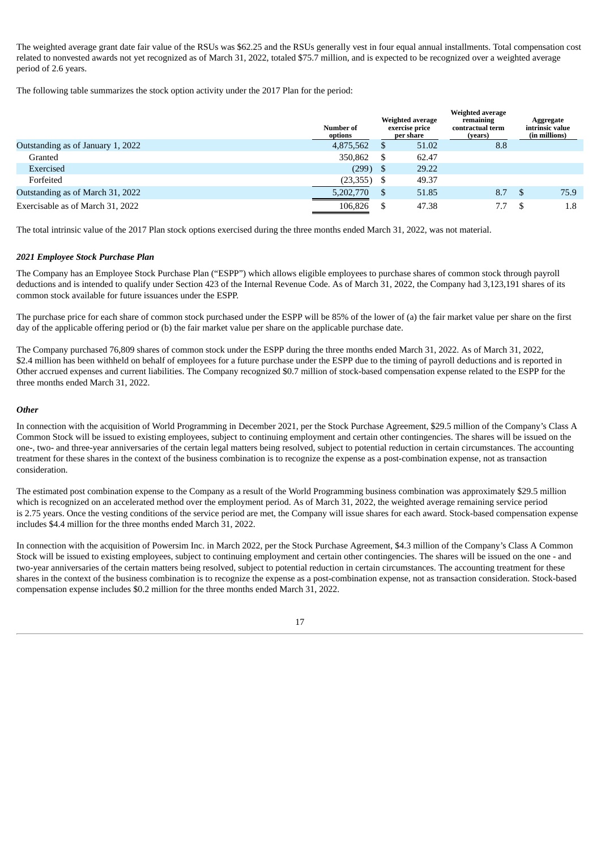The weighted average grant date fair value of the RSUs was \$62.25 and the RSUs generally vest in four equal annual installments. Total compensation cost related to nonvested awards not yet recognized as of March 31, 2022, totaled \$75.7 million, and is expected to be recognized over a weighted average period of 2.6 years.

The following table summarizes the stock option activity under the 2017 Plan for the period:

|                                   | Number of<br>options |     | Weighted average<br>exercise price<br>per share | Weighted average<br>remaining<br>contractual term<br>(years) | Aggregate<br>intrinsic value<br>(in millions) |
|-----------------------------------|----------------------|-----|-------------------------------------------------|--------------------------------------------------------------|-----------------------------------------------|
| Outstanding as of January 1, 2022 | 4,875,562            | S   | 51.02                                           | 8.8                                                          |                                               |
| Granted                           | 350,862              | S   | 62.47                                           |                                                              |                                               |
| Exercised                         | (299)                | - S | 29.22                                           |                                                              |                                               |
| Forfeited                         | (23, 355)            |     | 49.37                                           |                                                              |                                               |
| Outstanding as of March 31, 2022  | 5,202,770            | S   | 51.85                                           | 8.7                                                          | 75.9                                          |
| Exercisable as of March 31, 2022  | 106,826              | S   | 47.38                                           | 7.7                                                          | 1.8                                           |

The total intrinsic value of the 2017 Plan stock options exercised during the three months ended March 31, 2022, was not material.

## *2021 Employee Stock Purchase Plan*

The Company has an Employee Stock Purchase Plan ("ESPP") which allows eligible employees to purchase shares of common stock through payroll deductions and is intended to qualify under Section 423 of the Internal Revenue Code. As of March 31, 2022, the Company had 3,123,191 shares of its common stock available for future issuances under the ESPP.

The purchase price for each share of common stock purchased under the ESPP will be 85% of the lower of (a) the fair market value per share on the first day of the applicable offering period or (b) the fair market value per share on the applicable purchase date.

The Company purchased 76,809 shares of common stock under the ESPP during the three months ended March 31, 2022. As of March 31, 2022, \$2.4 million has been withheld on behalf of employees for a future purchase under the ESPP due to the timing of payroll deductions and is reported in Other accrued expenses and current liabilities. The Company recognized \$0.7 million of stock-based compensation expense related to the ESPP for the three months ended March 31, 2022.

## *Other*

In connection with the acquisition of World Programming in December 2021, per the Stock Purchase Agreement, \$29.5 million of the Company's Class A Common Stock will be issued to existing employees, subject to continuing employment and certain other contingencies. The shares will be issued on the one-, two- and three-year anniversaries of the certain legal matters being resolved, subject to potential reduction in certain circumstances. The accounting treatment for these shares in the context of the business combination is to recognize the expense as a post-combination expense, not as transaction consideration.

The estimated post combination expense to the Company as a result of the World Programming business combination was approximately \$29.5 million which is recognized on an accelerated method over the employment period. As of March 31, 2022, the weighted average remaining service period is 2.75 years. Once the vesting conditions of the service period are met, the Company will issue shares for each award. Stock-based compensation expense includes \$4.4 million for the three months ended March 31, 2022.

In connection with the acquisition of Powersim Inc. in March 2022, per the Stock Purchase Agreement, \$4.3 million of the Company's Class A Common Stock will be issued to existing employees, subject to continuing employment and certain other contingencies. The shares will be issued on the one - and two-year anniversaries of the certain matters being resolved, subject to potential reduction in certain circumstances. The accounting treatment for these shares in the context of the business combination is to recognize the expense as a post-combination expense, not as transaction consideration. Stock-based compensation expense includes \$0.2 million for the three months ended March 31, 2022.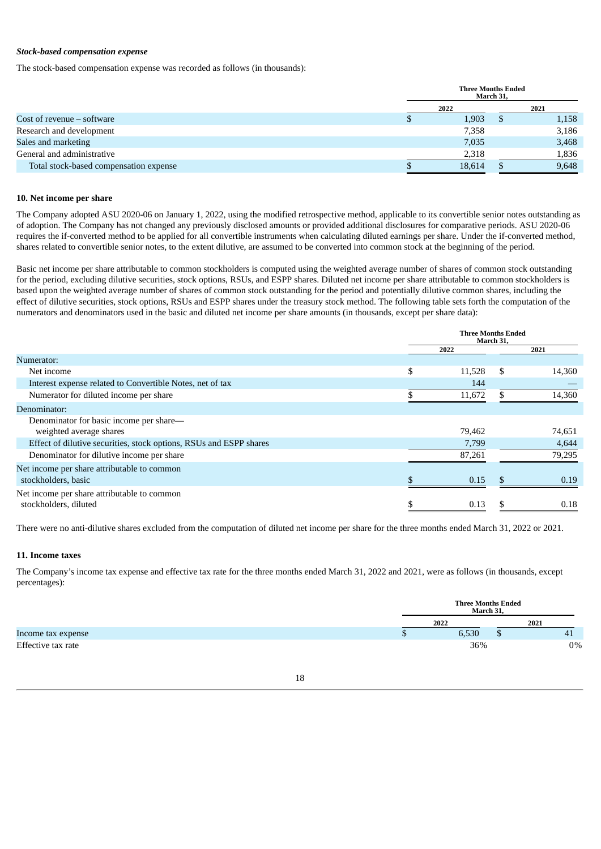## *Stock-based compensation expense*

The stock-based compensation expense was recorded as follows (in thousands):

|                                        | <b>Three Months Ended</b><br>March 31, |       |
|----------------------------------------|----------------------------------------|-------|
|                                        | 2022                                   | 2021  |
| Cost of revenue $-$ software           | 1,903                                  | 1,158 |
| Research and development               | 7,358                                  | 3,186 |
| Sales and marketing                    | 7,035                                  | 3,468 |
| General and administrative             | 2,318                                  | 1,836 |
| Total stock-based compensation expense | 18,614                                 | 9,648 |

## **10. Net income per share**

The Company adopted ASU 2020-06 on January 1, 2022, using the modified retrospective method, applicable to its convertible senior notes outstanding as of adoption. The Company has not changed any previously disclosed amounts or provided additional disclosures for comparative periods. ASU 2020-06 requires the if-converted method to be applied for all convertible instruments when calculating diluted earnings per share. Under the if-converted method, shares related to convertible senior notes, to the extent dilutive, are assumed to be converted into common stock at the beginning of the period.

Basic net income per share attributable to common stockholders is computed using the weighted average number of shares of common stock outstanding for the period, excluding dilutive securities, stock options, RSUs, and ESPP shares. Diluted net income per share attributable to common stockholders is based upon the weighted average number of shares of common stock outstanding for the period and potentially dilutive common shares, including the effect of dilutive securities, stock options, RSUs and ESPP shares under the treasury stock method. The following table sets forth the computation of the numerators and denominators used in the basic and diluted net income per share amounts (in thousands, except per share data):

|                                                                    | <b>Three Months Ended</b><br>March 31, |    |        |  |  |
|--------------------------------------------------------------------|----------------------------------------|----|--------|--|--|
|                                                                    | 2022                                   |    | 2021   |  |  |
| Numerator:                                                         |                                        |    |        |  |  |
| Net income                                                         | \$<br>11,528                           | \$ | 14,360 |  |  |
| Interest expense related to Convertible Notes, net of tax          | 144                                    |    |        |  |  |
| Numerator for diluted income per share                             | 11,672                                 |    | 14,360 |  |  |
| Denominator:                                                       |                                        |    |        |  |  |
| Denominator for basic income per share-                            |                                        |    |        |  |  |
| weighted average shares                                            | 79,462                                 |    | 74,651 |  |  |
| Effect of dilutive securities, stock options, RSUs and ESPP shares | 7,799                                  |    | 4,644  |  |  |
| Denominator for dilutive income per share                          | 87,261                                 |    | 79,295 |  |  |
| Net income per share attributable to common                        |                                        |    |        |  |  |
| stockholders, basic                                                | 0.15                                   |    | 0.19   |  |  |
| Net income per share attributable to common                        |                                        |    |        |  |  |
| stockholders, diluted                                              | 0.13                                   |    | 0.18   |  |  |

There were no anti-dilutive shares excluded from the computation of diluted net income per share for the three months ended March 31, 2022 or 2021.

## **11. Income taxes**

The Company's income tax expense and effective tax rate for the three months ended March 31, 2022 and 2021, were as follows (in thousands, except percentages):

|                    |      | <b>Three Months Ended</b><br>March 31. |   |      |
|--------------------|------|----------------------------------------|---|------|
|                    | 2022 |                                        |   | 2021 |
| Income tax expense |      | 6,530                                  | Φ | 41   |
| Effective tax rate |      | 36%                                    |   | 0%   |

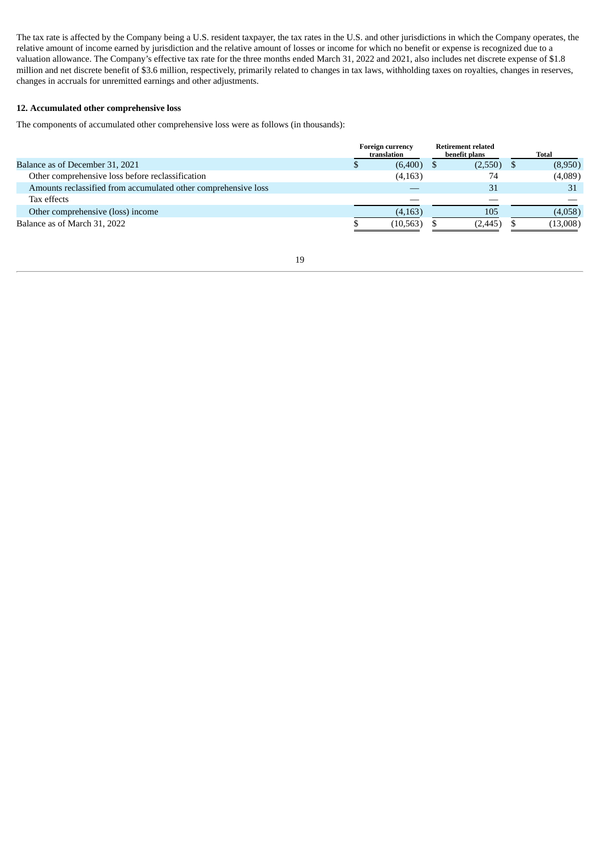The tax rate is affected by the Company being a U.S. resident taxpayer, the tax rates in the U.S. and other jurisdictions in which the Company operates, the relative amount of income earned by jurisdiction and the relative amount of losses or income for which no benefit or expense is recognized due to a valuation allowance. The Company's effective tax rate for the three months ended March 31, 2022 and 2021, also includes net discrete expense of \$1.8 million and net discrete benefit of \$3.6 million, respectively, primarily related to changes in tax laws, withholding taxes on royalties, changes in reserves, changes in accruals for unremitted earnings and other adjustments.

# **12. Accumulated other comprehensive loss**

The components of accumulated other comprehensive loss were as follows (in thousands):

|                                                                | <b>Foreign currency</b><br>translation |           |  | <b>Retirement related</b><br>benefit plans | Total    |
|----------------------------------------------------------------|----------------------------------------|-----------|--|--------------------------------------------|----------|
| Balance as of December 31, 2021                                |                                        | (6,400)   |  | (2,550)                                    | (8,950)  |
| Other comprehensive loss before reclassification               |                                        | (4, 163)  |  | 74                                         | (4,089)  |
| Amounts reclassified from accumulated other comprehensive loss |                                        |           |  | 31                                         | 31       |
| Tax effects                                                    |                                        |           |  |                                            |          |
| Other comprehensive (loss) income                              |                                        | (4, 163)  |  | 105                                        | (4,058)  |
| Balance as of March 31, 2022                                   |                                        | (10, 563) |  | (2,445)                                    | (13,008) |
|                                                                |                                        |           |  |                                            |          |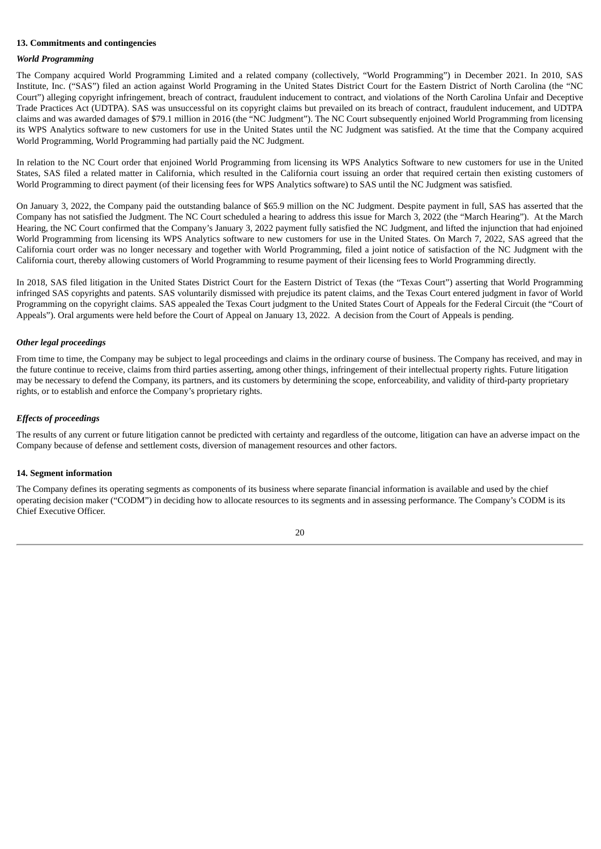## **13. Commitments and contingencies**

## *World Programming*

The Company acquired World Programming Limited and a related company (collectively, "World Programming") in December 2021. In 2010, SAS Institute, Inc. ("SAS") filed an action against World Programing in the United States District Court for the Eastern District of North Carolina (the "NC Court") alleging copyright infringement, breach of contract, fraudulent inducement to contract, and violations of the North Carolina Unfair and Deceptive Trade Practices Act (UDTPA). SAS was unsuccessful on its copyright claims but prevailed on its breach of contract, fraudulent inducement, and UDTPA claims and was awarded damages of \$79.1 million in 2016 (the "NC Judgment"). The NC Court subsequently enjoined World Programming from licensing its WPS Analytics software to new customers for use in the United States until the NC Judgment was satisfied. At the time that the Company acquired World Programming, World Programming had partially paid the NC Judgment.

In relation to the NC Court order that enjoined World Programming from licensing its WPS Analytics Software to new customers for use in the United States, SAS filed a related matter in California, which resulted in the California court issuing an order that required certain then existing customers of World Programming to direct payment (of their licensing fees for WPS Analytics software) to SAS until the NC Judgment was satisfied.

On January 3, 2022, the Company paid the outstanding balance of \$65.9 million on the NC Judgment. Despite payment in full, SAS has asserted that the Company has not satisfied the Judgment. The NC Court scheduled a hearing to address this issue for March 3, 2022 (the "March Hearing"). At the March Hearing, the NC Court confirmed that the Company's January 3, 2022 payment fully satisfied the NC Judgment, and lifted the injunction that had enjoined World Programming from licensing its WPS Analytics software to new customers for use in the United States. On March 7, 2022, SAS agreed that the California court order was no longer necessary and together with World Programming, filed a joint notice of satisfaction of the NC Judgment with the California court, thereby allowing customers of World Programming to resume payment of their licensing fees to World Programming directly.

In 2018, SAS filed litigation in the United States District Court for the Eastern District of Texas (the "Texas Court") asserting that World Programming infringed SAS copyrights and patents. SAS voluntarily dismissed with prejudice its patent claims, and the Texas Court entered judgment in favor of World Programming on the copyright claims. SAS appealed the Texas Court judgment to the United States Court of Appeals for the Federal Circuit (the "Court of Appeals"). Oral arguments were held before the Court of Appeal on January 13, 2022. A decision from the Court of Appeals is pending.

#### *Other legal proceedings*

From time to time, the Company may be subject to legal proceedings and claims in the ordinary course of business. The Company has received, and may in the future continue to receive, claims from third parties asserting, among other things, infringement of their intellectual property rights. Future litigation may be necessary to defend the Company, its partners, and its customers by determining the scope, enforceability, and validity of third-party proprietary rights, or to establish and enforce the Company's proprietary rights.

## *Effects of proceedings*

The results of any current or future litigation cannot be predicted with certainty and regardless of the outcome, litigation can have an adverse impact on the Company because of defense and settlement costs, diversion of management resources and other factors.

## **14. Segment information**

The Company defines its operating segments as components of its business where separate financial information is available and used by the chief operating decision maker ("CODM") in deciding how to allocate resources to its segments and in assessing performance. The Company's CODM is its Chief Executive Officer.

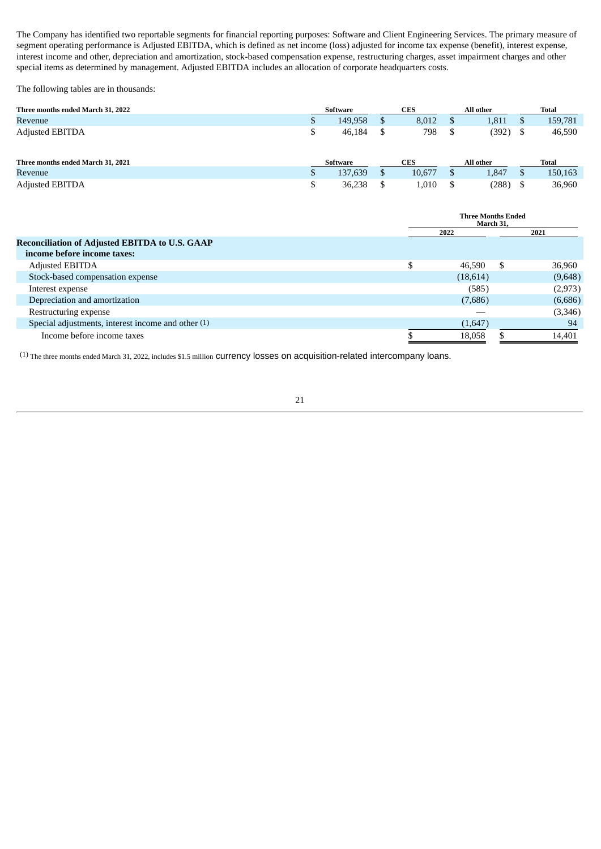The Company has identified two reportable segments for financial reporting purposes: Software and Client Engineering Services. The primary measure of segment operating performance is Adjusted EBITDA, which is defined as net income (loss) adjusted for income tax expense (benefit), interest expense, interest income and other, depreciation and amortization, stock-based compensation expense, restructuring charges, asset impairment charges and other special items as determined by management. Adjusted EBITDA includes an allocation of corporate headquarters costs.

The following tables are in thousands:

| Three months ended March 31, 2022 | Software |   | <b>CES</b> |   | All other | Total        |
|-----------------------------------|----------|---|------------|---|-----------|--------------|
| Revenue                           | 149.958  | S | 8,012      |   | 1,811     | 159,781      |
| <b>Adjusted EBITDA</b>            | 46.184   | S | 798        | S | (392)     | 46,590       |
| Three months ended March 31, 2021 | Software |   | <b>CES</b> |   | All other | <b>Total</b> |
| Revenue                           | 137,639  | S | 10.677     |   | 1,847     | 150,163      |
| <b>Adjusted EBITDA</b>            | 36.238   |   | 1,010      |   | (288)     | 36,960       |

|                                                       | <b>Three Months Ended</b><br>March 31. |          |   |          |  |  |  |  |
|-------------------------------------------------------|----------------------------------------|----------|---|----------|--|--|--|--|
|                                                       |                                        | 2022     |   | 2021     |  |  |  |  |
| <b>Reconciliation of Adjusted EBITDA to U.S. GAAP</b> |                                        |          |   |          |  |  |  |  |
| income before income taxes:                           |                                        |          |   |          |  |  |  |  |
| <b>Adjusted EBITDA</b>                                | \$                                     | 46,590   | S | 36,960   |  |  |  |  |
| Stock-based compensation expense                      |                                        | (18,614) |   | (9,648)  |  |  |  |  |
| Interest expense                                      |                                        | (585)    |   | (2, 973) |  |  |  |  |
| Depreciation and amortization                         |                                        | (7,686)  |   | (6,686)  |  |  |  |  |
| Restructuring expense                                 |                                        |          |   | (3,346)  |  |  |  |  |
| Special adjustments, interest income and other (1)    |                                        | (1,647)  |   | 94       |  |  |  |  |
| Income before income taxes                            |                                        | 18,058   |   | 14,401   |  |  |  |  |

(1) The three months ended March 31, 2022, includes \$1.5 million currency losses on acquisition-related intercompany loans.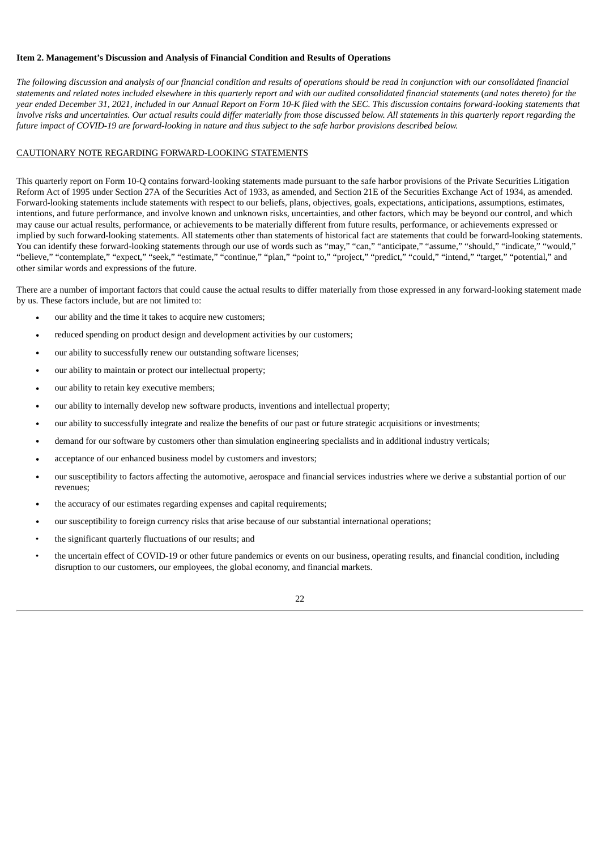## <span id="page-21-0"></span>**Item 2. Management's Discussion and Analysis of Financial Condition and Results of Operations**

The following discussion and analysis of our financial condition and results of operations should be read in conjunction with our consolidated financial statements and related notes included elsewhere in this quarterly report and with our audited consolidated financial statements (and notes thereto) for the year ended December 31, 2021, included in our Annual Report on Form 10-K filed with the SEC. This discussion contains forward-looking statements that involve risks and uncertainties. Our actual results could differ materially from those discussed below. All statements in this quarterly report regarding the future impact of COVID-19 are forward-looking in nature and thus subject to the safe harbor provisions described below.

## CAUTIONARY NOTE REGARDING FORWARD-LOOKING STATEMENTS

This quarterly report on Form 10-Q contains forward-looking statements made pursuant to the safe harbor provisions of the Private Securities Litigation Reform Act of 1995 under Section 27A of the Securities Act of 1933, as amended, and Section 21E of the Securities Exchange Act of 1934, as amended. Forward-looking statements include statements with respect to our beliefs, plans, objectives, goals, expectations, anticipations, assumptions, estimates, intentions, and future performance, and involve known and unknown risks, uncertainties, and other factors, which may be beyond our control, and which may cause our actual results, performance, or achievements to be materially different from future results, performance, or achievements expressed or implied by such forward-looking statements. All statements other than statements of historical fact are statements that could be forward-looking statements. You can identify these forward-looking statements through our use of words such as "may," "can," "anticipate," "assume," "should," "indicate," "would," "believe," "contemplate," "expect," "seek," "estimate," "continue," "plan," "point to," "project," "predict," "could," "intend," "target," "potential," and other similar words and expressions of the future.

There are a number of important factors that could cause the actual results to differ materially from those expressed in any forward-looking statement made by us. These factors include, but are not limited to:

- our ability and the time it takes to acquire new customers;
- reduced spending on product design and development activities by our customers;
- our ability to successfully renew our outstanding software licenses;
- our ability to maintain or protect our intellectual property;
- our ability to retain key executive members;
- our ability to internally develop new software products, inventions and intellectual property;
- our ability to successfully integrate and realize the benefits of our past or future strategic acquisitions or investments;
- demand for our software by customers other than simulation engineering specialists and in additional industry verticals;
- acceptance of our enhanced business model by customers and investors;
- our susceptibility to factors affecting the automotive, aerospace and financial services industries where we derive a substantial portion of our revenues;
- the accuracy of our estimates regarding expenses and capital requirements;
- our susceptibility to foreign currency risks that arise because of our substantial international operations;
- the significant quarterly fluctuations of our results; and
- the uncertain effect of COVID-19 or other future pandemics or events on our business, operating results, and financial condition, including disruption to our customers, our employees, the global economy, and financial markets.

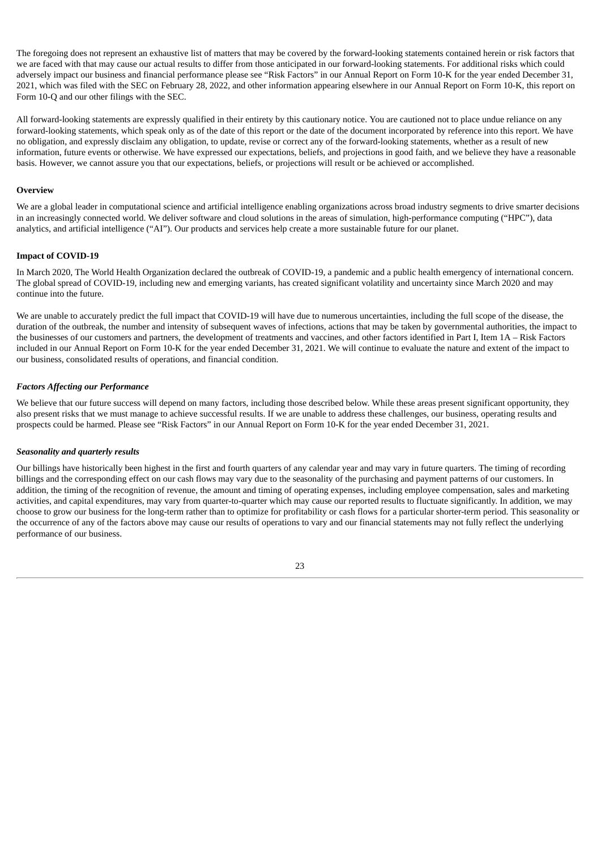The foregoing does not represent an exhaustive list of matters that may be covered by the forward-looking statements contained herein or risk factors that we are faced with that may cause our actual results to differ from those anticipated in our forward-looking statements. For additional risks which could adversely impact our business and financial performance please see "Risk Factors" in our Annual Report on Form 10-K for the year ended December 31, 2021, which was filed with the SEC on February 28, 2022, and other information appearing elsewhere in our Annual Report on Form 10-K, this report on Form 10-Q and our other filings with the SEC.

All forward-looking statements are expressly qualified in their entirety by this cautionary notice. You are cautioned not to place undue reliance on any forward-looking statements, which speak only as of the date of this report or the date of the document incorporated by reference into this report. We have no obligation, and expressly disclaim any obligation, to update, revise or correct any of the forward-looking statements, whether as a result of new information, future events or otherwise. We have expressed our expectations, beliefs, and projections in good faith, and we believe they have a reasonable basis. However, we cannot assure you that our expectations, beliefs, or projections will result or be achieved or accomplished.

#### **Overview**

We are a global leader in computational science and artificial intelligence enabling organizations across broad industry segments to drive smarter decisions in an increasingly connected world. We deliver software and cloud solutions in the areas of simulation, high-performance computing ("HPC"), data analytics, and artificial intelligence ("AI"). Our products and services help create a more sustainable future for our planet.

## **Impact of COVID-19**

In March 2020, The World Health Organization declared the outbreak of COVID-19, a pandemic and a public health emergency of international concern. The global spread of COVID-19, including new and emerging variants, has created significant volatility and uncertainty since March 2020 and may continue into the future.

We are unable to accurately predict the full impact that COVID-19 will have due to numerous uncertainties, including the full scope of the disease, the duration of the outbreak, the number and intensity of subsequent waves of infections, actions that may be taken by governmental authorities, the impact to the businesses of our customers and partners, the development of treatments and vaccines, and other factors identified in Part I, Item 1A – Risk Factors included in our Annual Report on Form 10-K for the year ended December 31, 2021. We will continue to evaluate the nature and extent of the impact to our business, consolidated results of operations, and financial condition.

#### *Factors Affecting our Performance*

We believe that our future success will depend on many factors, including those described below. While these areas present significant opportunity, they also present risks that we must manage to achieve successful results. If we are unable to address these challenges, our business, operating results and prospects could be harmed. Please see "Risk Factors" in our Annual Report on Form 10-K for the year ended December 31, 2021.

#### *Seasonality and quarterly results*

Our billings have historically been highest in the first and fourth quarters of any calendar year and may vary in future quarters. The timing of recording billings and the corresponding effect on our cash flows may vary due to the seasonality of the purchasing and payment patterns of our customers. In addition, the timing of the recognition of revenue, the amount and timing of operating expenses, including employee compensation, sales and marketing activities, and capital expenditures, may vary from quarter-to-quarter which may cause our reported results to fluctuate significantly. In addition, we may choose to grow our business for the long-term rather than to optimize for profitability or cash flows for a particular shorter-term period. This seasonality or the occurrence of any of the factors above may cause our results of operations to vary and our financial statements may not fully reflect the underlying performance of our business.

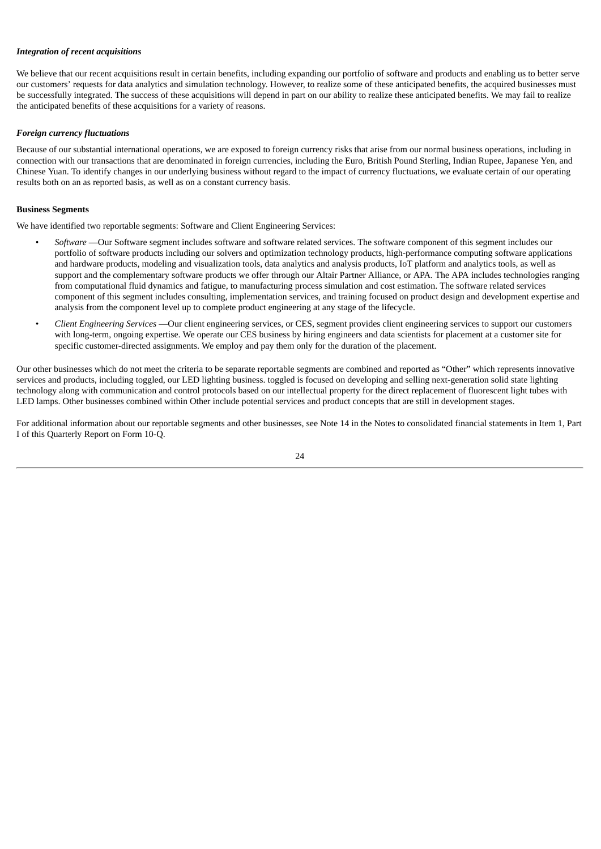### *Integration of recent acquisitions*

We believe that our recent acquisitions result in certain benefits, including expanding our portfolio of software and products and enabling us to better serve our customers' requests for data analytics and simulation technology. However, to realize some of these anticipated benefits, the acquired businesses must be successfully integrated. The success of these acquisitions will depend in part on our ability to realize these anticipated benefits. We may fail to realize the anticipated benefits of these acquisitions for a variety of reasons.

#### *Foreign currency fluctuations*

Because of our substantial international operations, we are exposed to foreign currency risks that arise from our normal business operations, including in connection with our transactions that are denominated in foreign currencies, including the Euro, British Pound Sterling, Indian Rupee, Japanese Yen, and Chinese Yuan. To identify changes in our underlying business without regard to the impact of currency fluctuations, we evaluate certain of our operating results both on an as reported basis, as well as on a constant currency basis.

#### **Business Segments**

We have identified two reportable segments: Software and Client Engineering Services:

- *Software* —Our Software segment includes software and software related services. The software component of this segment includes our portfolio of software products including our solvers and optimization technology products, high-performance computing software applications and hardware products, modeling and visualization tools, data analytics and analysis products, IoT platform and analytics tools, as well as support and the complementary software products we offer through our Altair Partner Alliance, or APA. The APA includes technologies ranging from computational fluid dynamics and fatigue, to manufacturing process simulation and cost estimation. The software related services component of this segment includes consulting, implementation services, and training focused on product design and development expertise and analysis from the component level up to complete product engineering at any stage of the lifecycle.
- *Client Engineering Services* —Our client engineering services, or CES, segment provides client engineering services to support our customers with long-term, ongoing expertise. We operate our CES business by hiring engineers and data scientists for placement at a customer site for specific customer-directed assignments. We employ and pay them only for the duration of the placement.

Our other businesses which do not meet the criteria to be separate reportable segments are combined and reported as "Other" which represents innovative services and products, including toggled, our LED lighting business. toggled is focused on developing and selling next-generation solid state lighting technology along with communication and control protocols based on our intellectual property for the direct replacement of fluorescent light tubes with LED lamps. Other businesses combined within Other include potential services and product concepts that are still in development stages.

For additional information about our reportable segments and other businesses, see Note 14 in the Notes to consolidated financial statements in Item 1, Part I of this Quarterly Report on Form 10-Q.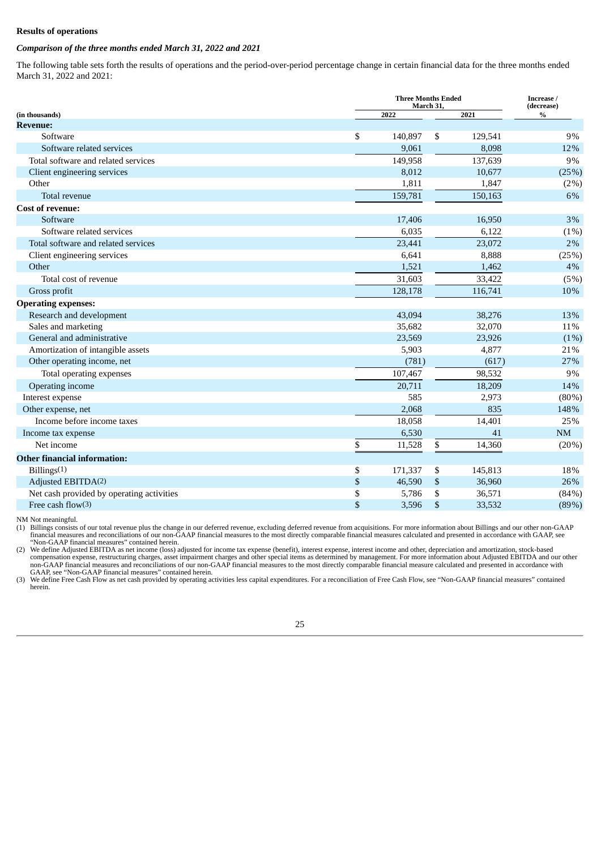#### **Results of operations**

## *Comparison of the three months ended March 31, 2022 and 2021*

The following table sets forth the results of operations and the period-over-period percentage change in certain financial data for the three months ended March 31, 2022 and 2021:

|                                           | <b>Three Months Ended</b><br>March 31, |              |         |                    |  |  |  |  |
|-------------------------------------------|----------------------------------------|--------------|---------|--------------------|--|--|--|--|
| (in thousands)                            | 2022                                   |              | 2021    | (decrease)<br>$\%$ |  |  |  |  |
| <b>Revenue:</b>                           |                                        |              |         |                    |  |  |  |  |
| Software                                  | \$<br>140,897                          | \$           | 129,541 | 9%                 |  |  |  |  |
| Software related services                 | 9,061                                  |              | 8,098   | 12%                |  |  |  |  |
| Total software and related services       | 149,958                                |              | 137,639 | 9%                 |  |  |  |  |
| Client engineering services               | 8,012                                  |              | 10,677  | (25%)              |  |  |  |  |
| Other                                     | 1,811                                  |              | 1,847   | (2%)               |  |  |  |  |
| Total revenue                             | 159,781                                |              | 150,163 | 6%                 |  |  |  |  |
| <b>Cost of revenue:</b>                   |                                        |              |         |                    |  |  |  |  |
| Software                                  | 17,406                                 |              | 16,950  | 3%                 |  |  |  |  |
| Software related services                 | 6,035                                  |              | 6,122   | (1%)               |  |  |  |  |
| Total software and related services       | 23,441                                 |              | 23,072  | 2%                 |  |  |  |  |
| Client engineering services               | 6,641                                  |              | 8,888   | (25%)              |  |  |  |  |
| Other                                     | 1,521                                  |              | 1,462   | 4%                 |  |  |  |  |
| Total cost of revenue                     | 31,603                                 |              | 33,422  | (5%)               |  |  |  |  |
| Gross profit                              | 128,178                                |              | 116,741 | 10%                |  |  |  |  |
| <b>Operating expenses:</b>                |                                        |              |         |                    |  |  |  |  |
| Research and development                  | 43,094                                 |              | 38,276  | 13%                |  |  |  |  |
| Sales and marketing                       | 35,682                                 |              | 32,070  | 11%                |  |  |  |  |
| General and administrative                | 23,569                                 |              | 23,926  | (1%)               |  |  |  |  |
| Amortization of intangible assets         | 5,903                                  |              | 4,877   | 21%                |  |  |  |  |
| Other operating income, net               | (781)                                  |              | (617)   | 27%                |  |  |  |  |
| Total operating expenses                  | 107,467                                |              | 98,532  | 9%                 |  |  |  |  |
| Operating income                          | 20,711                                 |              | 18,209  | 14%                |  |  |  |  |
| Interest expense                          | 585                                    |              | 2,973   | $(80\%)$           |  |  |  |  |
| Other expense, net                        | 2,068                                  |              | 835     | 148%               |  |  |  |  |
| Income before income taxes                | 18,058                                 |              | 14,401  | 25%                |  |  |  |  |
| Income tax expense                        | 6,530                                  |              | 41      | NM                 |  |  |  |  |
| Net income                                | \$<br>11,528                           | \$           | 14,360  | (20%)              |  |  |  |  |
| <b>Other financial information:</b>       |                                        |              |         |                    |  |  |  |  |
| Billings(1)                               | \$<br>171,337                          | \$           | 145,813 | 18%                |  |  |  |  |
| Adjusted EBITDA(2)                        | \$<br>46,590                           | $\mathbb{S}$ | 36,960  | 26%                |  |  |  |  |
| Net cash provided by operating activities | \$<br>5,786                            | \$           | 36,571  | (84%)              |  |  |  |  |
| Free cash flow $(3)$                      | \$<br>3,596                            | \$           | 33,532  | (89%)              |  |  |  |  |

NM Not meaningful.

(1) Billings consists of our total revenue plus the change in our deferred revenue, excluding deferred revenue from acquisitions. For more information about Billings and our other non-GAAP financial measures to the most di

"Non-GAAP financial measures" contained herein.<br>(2) We define Adjusted EBITDA as net income (loss) adjusted for income tax expense (benefit), interest expense, interest income and other, depreciation and amortization, stoc

(3) We define Free Cash Flow as net cash provided by operating activities less capital expenditures. For a reconciliation of Free Cash Flow, see "Non-GAAP financial measures" contained herein.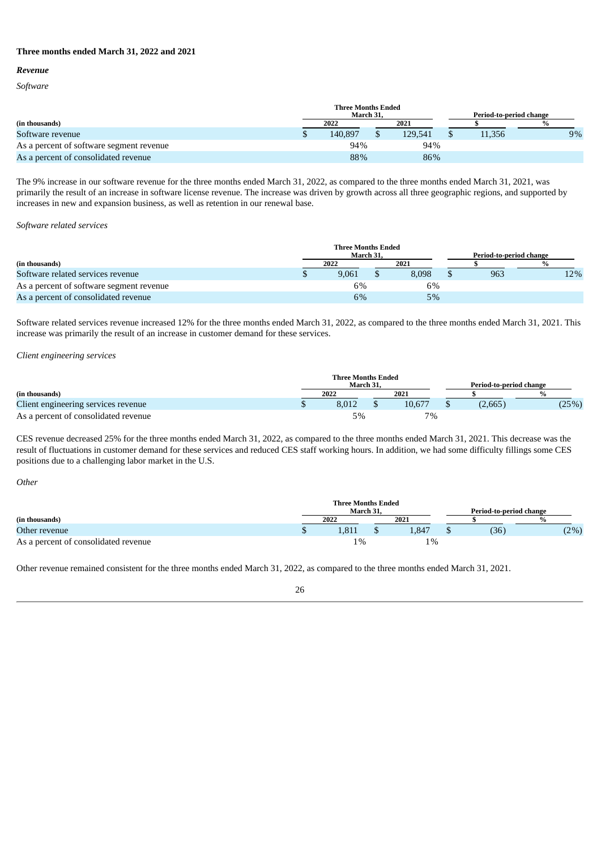## **Three months ended March 31, 2022 and 2021**

# *Revenue*

*Software*

| (in thousands)                           | <b>Three Months Ended</b> | March 31. |         | Period-to-period change |        |    |  |
|------------------------------------------|---------------------------|-----------|---------|-------------------------|--------|----|--|
|                                          | 2022                      |           | 2021    |                         |        |    |  |
| Software revenue                         | 140,897                   |           | 129.541 |                         | 11,356 | 9% |  |
| As a percent of software segment revenue | 94%                       |           | 94%     |                         |        |    |  |
| As a percent of consolidated revenue     | 88%                       |           | 86%     |                         |        |    |  |

The 9% increase in our software revenue for the three months ended March 31, 2022, as compared to the three months ended March 31, 2021, was primarily the result of an increase in software license revenue. The increase was driven by growth across all three geographic regions, and supported by increases in new and expansion business, as well as retention in our renewal base.

## *Software related services*

| (in thousands)                           | Three Months Ended | March 31. | Period-to-period change |     |     |  |
|------------------------------------------|--------------------|-----------|-------------------------|-----|-----|--|
|                                          | 2022               |           | 2021                    |     |     |  |
| Software related services revenue        | 9.061              |           | 8.098                   | 963 | 12% |  |
| As a percent of software segment revenue | 6%                 |           | 6%                      |     |     |  |
| As a percent of consolidated revenue     | 6%                 |           | 5%                      |     |     |  |

Software related services revenue increased 12% for the three months ended March 31, 2022, as compared to the three months ended March 31, 2021. This increase was primarily the result of an increase in customer demand for these services.

*Client engineering services*

| (in thousands)                       |      | <b>Three Months Ended</b><br>March 31. |      |        | Period-to-period change |         |       |
|--------------------------------------|------|----------------------------------------|------|--------|-------------------------|---------|-------|
|                                      | 2022 |                                        | 2021 |        |                         |         |       |
| Client engineering services revenue  |      | 8.012                                  |      | 10.677 |                         | (2,665) | (25%) |
| As a percent of consolidated revenue |      | 5%                                     |      | 7%     |                         |         |       |

CES revenue decreased 25% for the three months ended March 31, 2022, as compared to the three months ended March 31, 2021. This decrease was the result of fluctuations in customer demand for these services and reduced CES staff working hours. In addition, we had some difficulty fillings some CES positions due to a challenging labor market in the U.S.

*Other*

| (in thousands)                       | <b>Three Months Ended</b><br>March 31 | Period-to-period change |      |      |
|--------------------------------------|---------------------------------------|-------------------------|------|------|
|                                      | 2022                                  | 2021                    |      |      |
| Other revenue                        | 1.811                                 | .847                    | (36) | (2%) |
| As a percent of consolidated revenue | $1\%$                                 | $1\%$                   |      |      |

Other revenue remained consistent for the three months ended March 31, 2022, as compared to the three months ended March 31, 2021.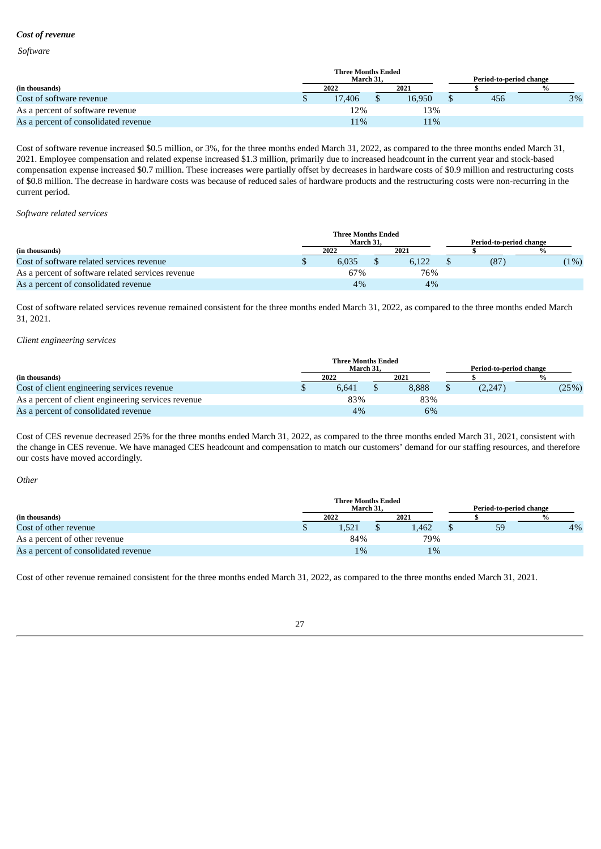## *Cost of revenue*

*Software*

|                                      |  | Three Months Ended<br>March 31. |  |        |  | Period-to-period change |    |  |  |
|--------------------------------------|--|---------------------------------|--|--------|--|-------------------------|----|--|--|
| (in thousands)                       |  | 2022                            |  | 2021   |  |                         |    |  |  |
| Cost of software revenue             |  | 17.406                          |  | 16.950 |  | 456                     | 3% |  |  |
| As a percent of software revenue     |  | 12%                             |  | 13%    |  |                         |    |  |  |
| As a percent of consolidated revenue |  | 11%                             |  | 11%    |  |                         |    |  |  |

Cost of software revenue increased \$0.5 million, or 3%, for the three months ended March 31, 2022, as compared to the three months ended March 31, 2021. Employee compensation and related expense increased \$1.3 million, primarily due to increased headcount in the current year and stock-based compensation expense increased \$0.7 million. These increases were partially offset by decreases in hardware costs of \$0.9 million and restructuring costs of \$0.8 million. The decrease in hardware costs was because of reduced sales of hardware products and the restructuring costs were non-recurring in the current period.

## *Software related services*

| (in thousands)                                    | Three Months Ended<br>March 31. |  | Period-to-period change |      |      |  |
|---------------------------------------------------|---------------------------------|--|-------------------------|------|------|--|
|                                                   | 2022                            |  | 2021                    |      |      |  |
| Cost of software related services revenue         | 6.035                           |  | 6.122                   | (87` | (1%) |  |
| As a percent of software related services revenue | 67%                             |  | 76%                     |      |      |  |
| As a percent of consolidated revenue              | $4\%$                           |  | 4%                      |      |      |  |

Cost of software related services revenue remained consistent for the three months ended March 31, 2022, as compared to the three months ended March 31, 2021.

#### *Client engineering services*

| (in thousands)                                      | <b>Three Months Ended</b> | March 31. | Period-to-period change |  |         |       |
|-----------------------------------------------------|---------------------------|-----------|-------------------------|--|---------|-------|
|                                                     | 2022                      |           | 2021                    |  |         |       |
| Cost of client engineering services revenue         | 6.641                     |           | 8.888                   |  | (2,247) | (25%) |
| As a percent of client engineering services revenue | 83%                       |           | 83%                     |  |         |       |
| As a percent of consolidated revenue                | 4%                        |           | 6%                      |  |         |       |

Cost of CES revenue decreased 25% for the three months ended March 31, 2022, as compared to the three months ended March 31, 2021, consistent with the change in CES revenue. We have managed CES headcount and compensation to match our customers' demand for our staffing resources, and therefore our costs have moved accordingly.

*Other*

|                                      | <b>Three Months Ended</b> |  |      |                         |    |
|--------------------------------------|---------------------------|--|------|-------------------------|----|
|                                      | March 31.                 |  |      | Period-to-period change |    |
| (in thousands)                       | 2022                      |  | 2021 |                         |    |
| Cost of other revenue                | 1.521                     |  | .462 | 59                      | 4% |
| As a percent of other revenue        | 84%                       |  | 79%  |                         |    |
| As a percent of consolidated revenue | $1\%$                     |  | 1%   |                         |    |

Cost of other revenue remained consistent for the three months ended March 31, 2022, as compared to the three months ended March 31, 2021.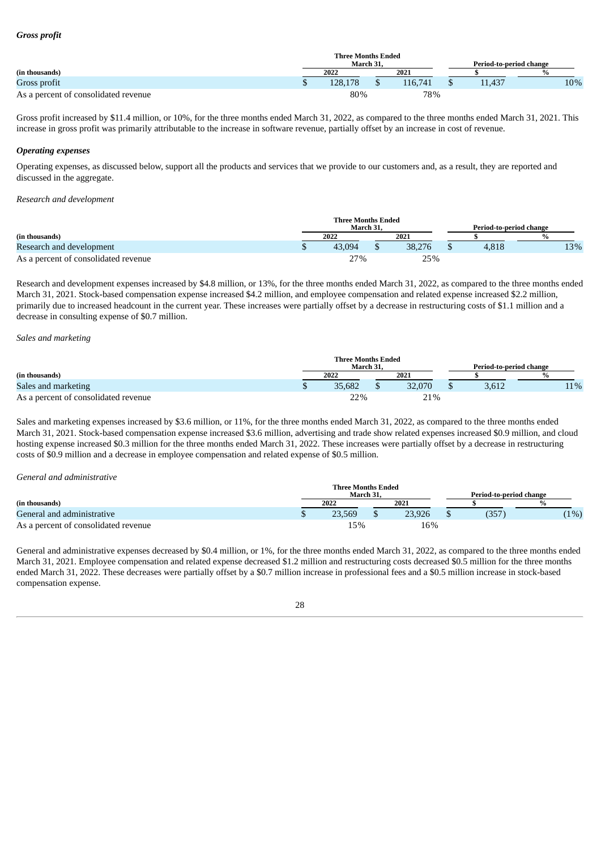| (in thousands)                       |  | <b>Three Months Ended</b><br>March 31. |         |  | Period-to-period change |     |  |  |
|--------------------------------------|--|----------------------------------------|---------|--|-------------------------|-----|--|--|
|                                      |  | 2022                                   | 2021    |  |                         |     |  |  |
| Gross profit                         |  | 128.178                                | 116.741 |  | 11.437                  | 10% |  |  |
| As a percent of consolidated revenue |  | 80%                                    | 78%     |  |                         |     |  |  |

Gross profit increased by \$11.4 million, or 10%, for the three months ended March 31, 2022, as compared to the three months ended March 31, 2021. This increase in gross profit was primarily attributable to the increase in software revenue, partially offset by an increase in cost of revenue.

#### *Operating expenses*

Operating expenses, as discussed below, support all the products and services that we provide to our customers and, as a result, they are reported and discussed in the aggregate.

*Research and development*

| (in thousands)                       |  | <b>Three Months Ended</b><br>March 31. |        |  | Period-to-period change |     |  |
|--------------------------------------|--|----------------------------------------|--------|--|-------------------------|-----|--|
|                                      |  | 2022                                   | 2021   |  |                         |     |  |
| Research and development             |  | 43.094                                 | 38.276 |  | 4,818                   | 13% |  |
| As a percent of consolidated revenue |  | $27\%$                                 | 25%    |  |                         |     |  |

Research and development expenses increased by \$4.8 million, or 13%, for the three months ended March 31, 2022, as compared to the three months ended March 31, 2021. Stock-based compensation expense increased \$4.2 million, and employee compensation and related expense increased \$2.2 million, primarily due to increased headcount in the current year. These increases were partially offset by a decrease in restructuring costs of \$1.1 million and a decrease in consulting expense of \$0.7 million.

*Sales and marketing*

|                                      | <b>Three Months Ended</b><br>March 31 |  | Period-to-period change |       |     |
|--------------------------------------|---------------------------------------|--|-------------------------|-------|-----|
| (in thousands)                       | 2022                                  |  | 2021                    |       |     |
| Sales and marketing                  | 35.682                                |  | 32,070                  | 3,612 | 11% |
| As a percent of consolidated revenue | 22%                                   |  | 21%                     |       |     |

Sales and marketing expenses increased by \$3.6 million, or 11%, for the three months ended March 31, 2022, as compared to the three months ended March 31, 2021. Stock-based compensation expense increased \$3.6 million, advertising and trade show related expenses increased \$0.9 million, and cloud hosting expense increased \$0.3 million for the three months ended March 31, 2022. These increases were partially offset by a decrease in restructuring costs of \$0.9 million and a decrease in employee compensation and related expense of \$0.5 million.

*General and administrative*

|                                      | <b>Three Months Ended</b> |  |                         |  |      |      |
|--------------------------------------|---------------------------|--|-------------------------|--|------|------|
| (in thousands)                       | March 31.                 |  | Period-to-period change |  |      |      |
|                                      | 2022                      |  | 2021                    |  |      |      |
| General and administrative           | 23,569                    |  | 23,926                  |  | (357 | (1%) |
| As a percent of consolidated revenue | 15%                       |  | 16%                     |  |      |      |

General and administrative expenses decreased by \$0.4 million, or 1%, for the three months ended March 31, 2022, as compared to the three months ended March 31, 2021. Employee compensation and related expense decreased \$1.2 million and restructuring costs decreased \$0.5 million for the three months ended March 31, 2022. These decreases were partially offset by a \$0.7 million increase in professional fees and a \$0.5 million increase in stock-based compensation expense.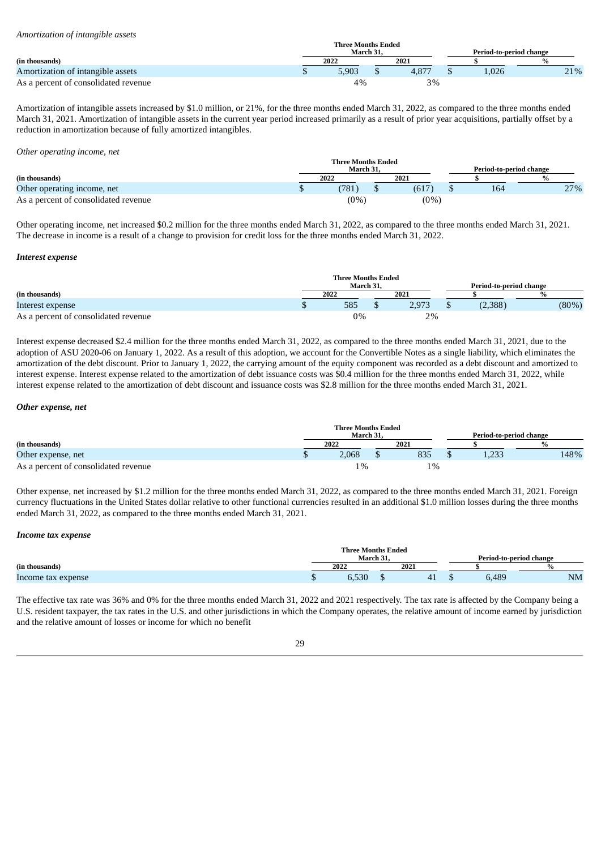|                                      | <b>Three Months Ended</b> |  |                         |  |       |     |  |
|--------------------------------------|---------------------------|--|-------------------------|--|-------|-----|--|
|                                      | March 31                  |  | Period-to-period change |  |       |     |  |
| (in thousands)                       | 2022                      |  | 2021                    |  |       |     |  |
| Amortization of intangible assets    | 5.903                     |  | 4.87                    |  | .,026 | 21% |  |
| As a percent of consolidated revenue | 4%                        |  | 3%                      |  |       |     |  |

Amortization of intangible assets increased by \$1.0 million, or 21%, for the three months ended March 31, 2022, as compared to the three months ended March 31, 2021. Amortization of intangible assets in the current year period increased primarily as a result of prior year acquisitions, partially offset by a reduction in amortization because of fully amortized intangibles.

*Other operating income, net*

|                                      | <b>Three Months Ended</b><br>March 31. |        | Period-to-period change |     |  |
|--------------------------------------|----------------------------------------|--------|-------------------------|-----|--|
| (in thousands)                       | 2022                                   | 2021   |                         |     |  |
| Other operating income, net          | (781)                                  | (617)  | 164                     | 27% |  |
| As a percent of consolidated revenue | $(0\%)$                                | $(0\%$ |                         |     |  |

Other operating income, net increased \$0.2 million for the three months ended March 31, 2022, as compared to the three months ended March 31, 2021. The decrease in income is a result of a change to provision for credit loss for the three months ended March 31, 2022.

#### *Interest expense*

|                                      | <b>Three Months Ended</b><br>March 31. |  | Period-to-period change |  |         |               |
|--------------------------------------|----------------------------------------|--|-------------------------|--|---------|---------------|
| (in thousands)                       | 2022                                   |  | 2021                    |  |         | $\frac{0}{n}$ |
| Interest expense                     | 585                                    |  | 2,973                   |  | (2,388) | $(80\%)$      |
| As a percent of consolidated revenue | $0\%$                                  |  | 2%                      |  |         |               |

Interest expense decreased \$2.4 million for the three months ended March 31, 2022, as compared to the three months ended March 31, 2021, due to the adoption of ASU 2020-06 on January 1, 2022. As a result of this adoption, we account for the Convertible Notes as a single liability, which eliminates the amortization of the debt discount. Prior to January 1, 2022, the carrying amount of the equity component was recorded as a debt discount and amortized to interest expense. Interest expense related to the amortization of debt issuance costs was \$0.4 million for the three months ended March 31, 2022, while interest expense related to the amortization of debt discount and issuance costs was \$2.8 million for the three months ended March 31, 2021.

#### *Other expense, net*

|                                      | <b>Three Months Ended</b><br>March 31. |  | Period-to-period change |  |       |      |
|--------------------------------------|----------------------------------------|--|-------------------------|--|-------|------|
| (in thousands)                       | 2022                                   |  | 2021                    |  |       |      |
| Other expense, net                   | 2,068                                  |  | 835                     |  | 1,233 | 148% |
| As a percent of consolidated revenue | $1\%$                                  |  | 1%                      |  |       |      |

Other expense, net increased by \$1.2 million for the three months ended March 31, 2022, as compared to the three months ended March 31, 2021. Foreign currency fluctuations in the United States dollar relative to other functional currencies resulted in an additional \$1.0 million losses during the three months ended March 31, 2022, as compared to the three months ended March 31, 2021.

## *Income tax expense*

|                    |       | Three Months Ended  |      |   |  |                         |           |  |
|--------------------|-------|---------------------|------|---|--|-------------------------|-----------|--|
|                    | March |                     |      |   |  | Period-to-period change |           |  |
| (in thousands)     | 2022  |                     | 2021 |   |  |                         |           |  |
| Income tax expense |       | <b>EDO</b><br>v.oov |      | ╍ |  | 489,ز                   | <b>NM</b> |  |

The effective tax rate was 36% and 0% for the three months ended March 31, 2022 and 2021 respectively. The tax rate is affected by the Company being a U.S. resident taxpayer, the tax rates in the U.S. and other jurisdictions in which the Company operates, the relative amount of income earned by jurisdiction and the relative amount of losses or income for which no benefit

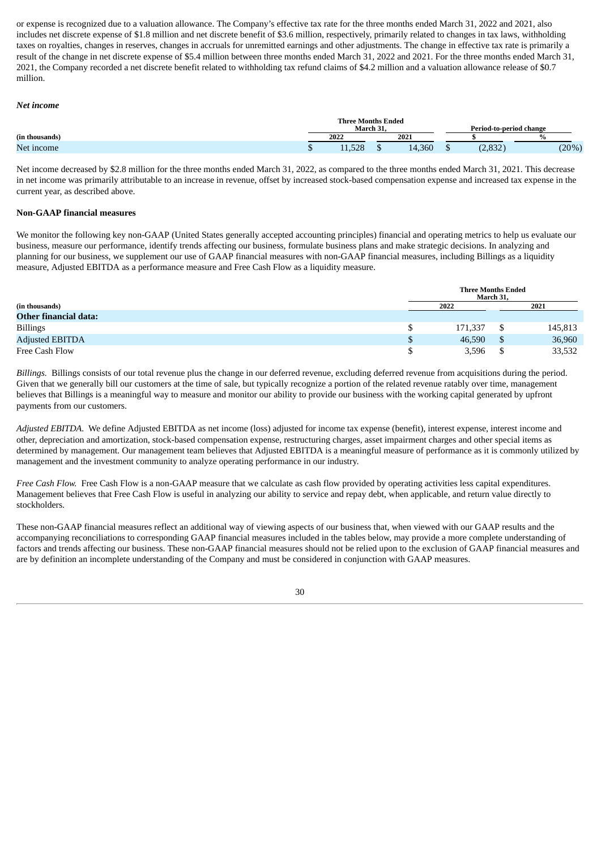or expense is recognized due to a valuation allowance. The Company's effective tax rate for the three months ended March 31, 2022 and 2021, also includes net discrete expense of \$1.8 million and net discrete benefit of \$3.6 million, respectively, primarily related to changes in tax laws, withholding taxes on royalties, changes in reserves, changes in accruals for unremitted earnings and other adjustments. The change in effective tax rate is primarily a result of the change in net discrete expense of \$5.4 million between three months ended March 31, 2022 and 2021. For the three months ended March 31, 2021, the Company recorded a net discrete benefit related to withholding tax refund claims of \$4.2 million and a valuation allowance release of \$0.7 million.

## *Net income*

| (in thousands) |      | <b>Three Months Ended</b><br>March 31. |              |       | Period-to-period change |                 |          |  |
|----------------|------|----------------------------------------|--------------|-------|-------------------------|-----------------|----------|--|
|                | 2022 |                                        |              | 2021  |                         |                 | $\Omega$ |  |
| Net income     |      | 11.528                                 | <b>STATE</b> | 4.360 |                         | 0.22<br>ےںں,∠ ا | (20%)    |  |

Net income decreased by \$2.8 million for the three months ended March 31, 2022, as compared to the three months ended March 31, 2021. This decrease in net income was primarily attributable to an increase in revenue, offset by increased stock-based compensation expense and increased tax expense in the current year, as described above.

#### **Non-GAAP financial measures**

We monitor the following key non-GAAP (United States generally accepted accounting principles) financial and operating metrics to help us evaluate our business, measure our performance, identify trends affecting our business, formulate business plans and make strategic decisions. In analyzing and planning for our business, we supplement our use of GAAP financial measures with non-GAAP financial measures, including Billings as a liquidity measure, Adjusted EBITDA as a performance measure and Free Cash Flow as a liquidity measure.

|                              | <b>Three Months Ended</b><br>March 31, |         |      |         |  |  |  |  |  |  |
|------------------------------|----------------------------------------|---------|------|---------|--|--|--|--|--|--|
| (in thousands)               |                                        |         | 2021 |         |  |  |  |  |  |  |
| <b>Other financial data:</b> |                                        |         |      |         |  |  |  |  |  |  |
| <b>Billings</b>              | \$                                     | 171,337 |      | 145,813 |  |  |  |  |  |  |
| <b>Adjusted EBITDA</b>       | \$                                     | 46,590  |      | 36,960  |  |  |  |  |  |  |
| Free Cash Flow               | S                                      | 3,596   |      | 33,532  |  |  |  |  |  |  |

*Billings.* Billings consists of our total revenue plus the change in our deferred revenue, excluding deferred revenue from acquisitions during the period. Given that we generally bill our customers at the time of sale, but typically recognize a portion of the related revenue ratably over time, management believes that Billings is a meaningful way to measure and monitor our ability to provide our business with the working capital generated by upfront payments from our customers.

*Adjusted EBITDA.* We define Adjusted EBITDA as net income (loss) adjusted for income tax expense (benefit), interest expense, interest income and other, depreciation and amortization, stock-based compensation expense, restructuring charges, asset impairment charges and other special items as determined by management. Our management team believes that Adjusted EBITDA is a meaningful measure of performance as it is commonly utilized by management and the investment community to analyze operating performance in our industry.

*Free Cash Flow.* Free Cash Flow is a non-GAAP measure that we calculate as cash flow provided by operating activities less capital expenditures. Management believes that Free Cash Flow is useful in analyzing our ability to service and repay debt, when applicable, and return value directly to stockholders.

These non-GAAP financial measures reflect an additional way of viewing aspects of our business that, when viewed with our GAAP results and the accompanying reconciliations to corresponding GAAP financial measures included in the tables below, may provide a more complete understanding of factors and trends affecting our business. These non-GAAP financial measures should not be relied upon to the exclusion of GAAP financial measures and are by definition an incomplete understanding of the Company and must be considered in conjunction with GAAP measures.

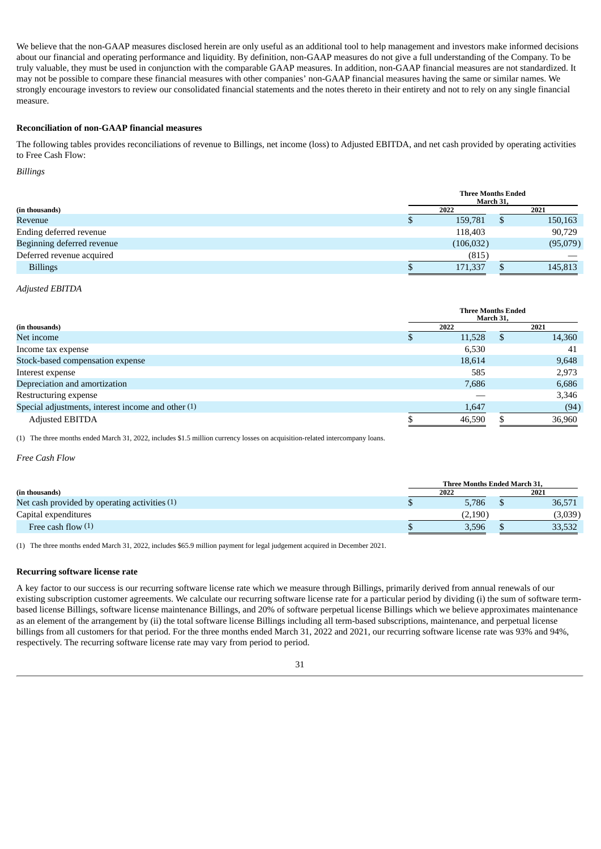We believe that the non-GAAP measures disclosed herein are only useful as an additional tool to help management and investors make informed decisions about our financial and operating performance and liquidity. By definition, non-GAAP measures do not give a full understanding of the Company. To be truly valuable, they must be used in conjunction with the comparable GAAP measures. In addition, non-GAAP financial measures are not standardized. It may not be possible to compare these financial measures with other companies' non-GAAP financial measures having the same or similar names. We strongly encourage investors to review our consolidated financial statements and the notes thereto in their entirety and not to rely on any single financial measure.

## **Reconciliation of non-GAAP financial measures**

The following tables provides reconciliations of revenue to Billings, net income (loss) to Adjusted EBITDA, and net cash provided by operating activities to Free Cash Flow:

*Billings*

|                            | <b>Three Months Ended</b><br>March 31. |            |      |          |
|----------------------------|----------------------------------------|------------|------|----------|
| (in thousands)             | 2022                                   |            | 2021 |          |
| Revenue                    |                                        | 159,781    |      | 150,163  |
| Ending deferred revenue    |                                        | 118,403    |      | 90,729   |
| Beginning deferred revenue |                                        | (106, 032) |      | (95,079) |
| Deferred revenue acquired  |                                        | (815)      |      |          |
| <b>Billings</b>            |                                        | 171,337    |      | 145,813  |

*Adjusted EBITDA*

|                                                      |                | <b>Three Months Ended</b><br>March 31, |  |        |  |
|------------------------------------------------------|----------------|----------------------------------------|--|--------|--|
| (in thousands)                                       | 2022           |                                        |  | 2021   |  |
| Net income                                           |                | 11,528                                 |  | 14,360 |  |
| Income tax expense                                   |                | 6,530                                  |  | 41     |  |
| Stock-based compensation expense                     |                | 18,614                                 |  | 9,648  |  |
| Interest expense                                     |                | 585                                    |  | 2,973  |  |
| Depreciation and amortization                        | 6,686<br>7,686 |                                        |  |        |  |
| Restructuring expense                                |                |                                        |  | 3,346  |  |
| Special adjustments, interest income and other $(1)$ |                | 1,647                                  |  | (94)   |  |
| <b>Adjusted EBITDA</b>                               |                | 46,590                                 |  | 36,960 |  |

(1) The three months ended March 31, 2022, includes \$1.5 million currency losses on acquisition-related intercompany loans.

*Free Cash Flow*

|                                                 | Three Months Ended March 31. |  |         |
|-------------------------------------------------|------------------------------|--|---------|
| (in thousands)                                  | 2021<br>2022                 |  |         |
| Net cash provided by operating activities $(1)$ | 5,786                        |  | 36,571  |
| Capital expenditures                            | (2, 190)                     |  | (3,039) |
| Free cash flow $(1)$                            | 3,596                        |  | 33,532  |

(1) The three months ended March 31, 2022, includes \$65.9 million payment for legal judgement acquired in December 2021.

#### **Recurring software license rate**

A key factor to our success is our recurring software license rate which we measure through Billings, primarily derived from annual renewals of our existing subscription customer agreements. We calculate our recurring software license rate for a particular period by dividing (i) the sum of software termbased license Billings, software license maintenance Billings, and 20% of software perpetual license Billings which we believe approximates maintenance as an element of the arrangement by (ii) the total software license Billings including all term-based subscriptions, maintenance, and perpetual license billings from all customers for that period. For the three months ended March 31, 2022 and 2021, our recurring software license rate was 93% and 94%, respectively. The recurring software license rate may vary from period to period.

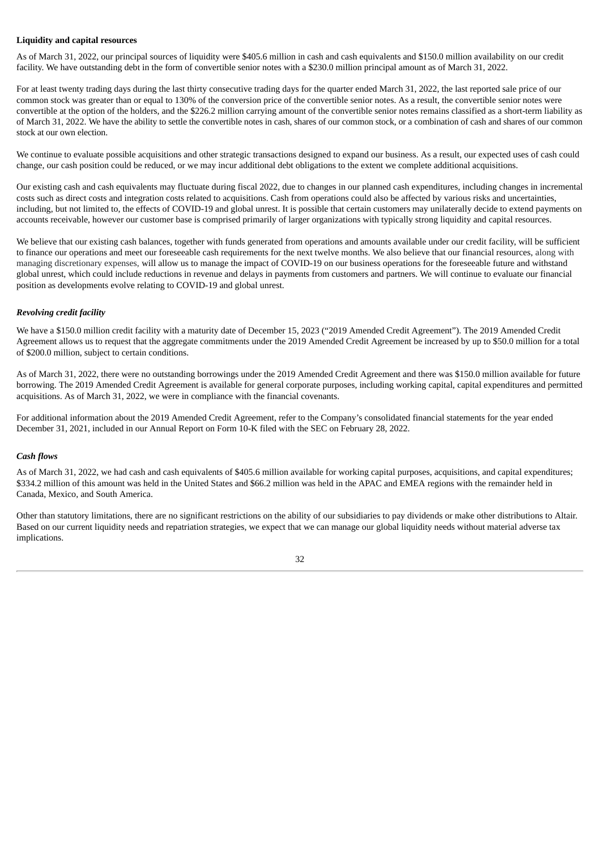## **Liquidity and capital resources**

As of March 31, 2022, our principal sources of liquidity were \$405.6 million in cash and cash equivalents and \$150.0 million availability on our credit facility. We have outstanding debt in the form of convertible senior notes with a \$230.0 million principal amount as of March 31, 2022.

For at least twenty trading days during the last thirty consecutive trading days for the quarter ended March 31, 2022, the last reported sale price of our common stock was greater than or equal to 130% of the conversion price of the convertible senior notes. As a result, the convertible senior notes were convertible at the option of the holders, and the \$226.2 million carrying amount of the convertible senior notes remains classified as a short-term liability as of March 31, 2022. We have the ability to settle the convertible notes in cash, shares of our common stock, or a combination of cash and shares of our common stock at our own election.

We continue to evaluate possible acquisitions and other strategic transactions designed to expand our business. As a result, our expected uses of cash could change, our cash position could be reduced, or we may incur additional debt obligations to the extent we complete additional acquisitions.

Our existing cash and cash equivalents may fluctuate during fiscal 2022, due to changes in our planned cash expenditures, including changes in incremental costs such as direct costs and integration costs related to acquisitions. Cash from operations could also be affected by various risks and uncertainties, including, but not limited to, the effects of COVID-19 and global unrest. It is possible that certain customers may unilaterally decide to extend payments on accounts receivable, however our customer base is comprised primarily of larger organizations with typically strong liquidity and capital resources.

We believe that our existing cash balances, together with funds generated from operations and amounts available under our credit facility, will be sufficient to finance our operations and meet our foreseeable cash requirements for the next twelve months. We also believe that our financial resources, along with managing discretionary expenses, will allow us to manage the impact of COVID-19 on our business operations for the foreseeable future and withstand global unrest, which could include reductions in revenue and delays in payments from customers and partners. We will continue to evaluate our financial position as developments evolve relating to COVID-19 and global unrest.

## *Revolving credit facility*

We have a \$150.0 million credit facility with a maturity date of December 15, 2023 ("2019 Amended Credit Agreement"). The 2019 Amended Credit Agreement allows us to request that the aggregate commitments under the 2019 Amended Credit Agreement be increased by up to \$50.0 million for a total of \$200.0 million, subject to certain conditions.

As of March 31, 2022, there were no outstanding borrowings under the 2019 Amended Credit Agreement and there was \$150.0 million available for future borrowing. The 2019 Amended Credit Agreement is available for general corporate purposes, including working capital, capital expenditures and permitted acquisitions. As of March 31, 2022, we were in compliance with the financial covenants.

For additional information about the 2019 Amended Credit Agreement, refer to the Company's consolidated financial statements for the year ended December 31, 2021, included in our Annual Report on Form 10-K filed with the SEC on February 28, 2022.

## *Cash flows*

As of March 31, 2022, we had cash and cash equivalents of \$405.6 million available for working capital purposes, acquisitions, and capital expenditures; \$334.2 million of this amount was held in the United States and \$66.2 million was held in the APAC and EMEA regions with the remainder held in Canada, Mexico, and South America.

Other than statutory limitations, there are no significant restrictions on the ability of our subsidiaries to pay dividends or make other distributions to Altair. Based on our current liquidity needs and repatriation strategies, we expect that we can manage our global liquidity needs without material adverse tax implications.

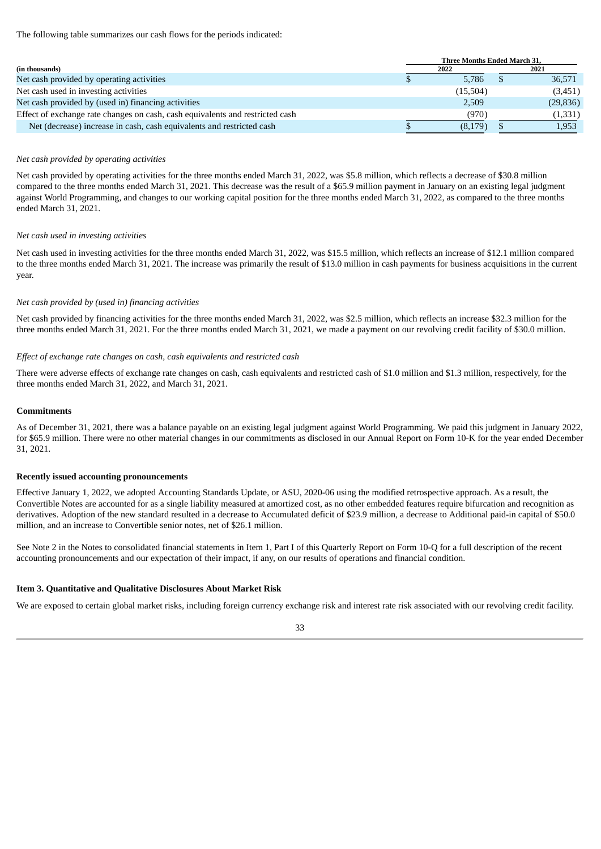The following table summarizes our cash flows for the periods indicated:

|                                                                               | <b>Three Months Ended March 31.</b> |  |           |
|-------------------------------------------------------------------------------|-------------------------------------|--|-----------|
| (in thousands)                                                                | 2022                                |  | 2021      |
| Net cash provided by operating activities                                     | 5.786                               |  | 36,571    |
| Net cash used in investing activities                                         | (15,504)                            |  | (3,451)   |
| Net cash provided by (used in) financing activities                           | 2,509                               |  | (29, 836) |
| Effect of exchange rate changes on cash, cash equivalents and restricted cash | (970)                               |  | (1,331)   |
| Net (decrease) increase in cash, cash equivalents and restricted cash         | (8,179)                             |  | 1,953     |

## *Net cash provided by operating activities*

Net cash provided by operating activities for the three months ended March 31, 2022, was \$5.8 million, which reflects a decrease of \$30.8 million compared to the three months ended March 31, 2021. This decrease was the result of a \$65.9 million payment in January on an existing legal judgment against World Programming, and changes to our working capital position for the three months ended March 31, 2022, as compared to the three months ended March 31, 2021.

#### *Net cash used in investing activities*

Net cash used in investing activities for the three months ended March 31, 2022, was \$15.5 million, which reflects an increase of \$12.1 million compared to the three months ended March 31, 2021. The increase was primarily the result of \$13.0 million in cash payments for business acquisitions in the current year.

## *Net cash provided by (used in) financing activities*

Net cash provided by financing activities for the three months ended March 31, 2022, was \$2.5 million, which reflects an increase \$32.3 million for the three months ended March 31, 2021. For the three months ended March 31, 2021, we made a payment on our revolving credit facility of \$30.0 million.

#### *Effect of exchange rate changes on cash, cash equivalents and restricted cash*

There were adverse effects of exchange rate changes on cash, cash equivalents and restricted cash of \$1.0 million and \$1.3 million, respectively, for the three months ended March 31, 2022, and March 31, 2021.

#### **Commitments**

As of December 31, 2021, there was a balance payable on an existing legal judgment against World Programming. We paid this judgment in January 2022, for \$65.9 million. There were no other material changes in our commitments as disclosed in our Annual Report on Form 10-K for the year ended December 31, 2021.

#### **Recently issued accounting pronouncements**

Effective January 1, 2022, we adopted Accounting Standards Update, or ASU, 2020-06 using the modified retrospective approach. As a result, the Convertible Notes are accounted for as a single liability measured at amortized cost, as no other embedded features require bifurcation and recognition as derivatives. Adoption of the new standard resulted in a decrease to Accumulated deficit of \$23.9 million, a decrease to Additional paid-in capital of \$50.0 million, and an increase to Convertible senior notes, net of \$26.1 million.

See Note 2 in the Notes to consolidated financial statements in Item 1, Part I of this Quarterly Report on Form 10-Q for a full description of the recent accounting pronouncements and our expectation of their impact, if any, on our results of operations and financial condition.

## <span id="page-32-0"></span>**Item 3. Quantitative and Qualitative Disclosures About Market Risk**

We are exposed to certain global market risks, including foreign currency exchange risk and interest rate risk associated with our revolving credit facility.

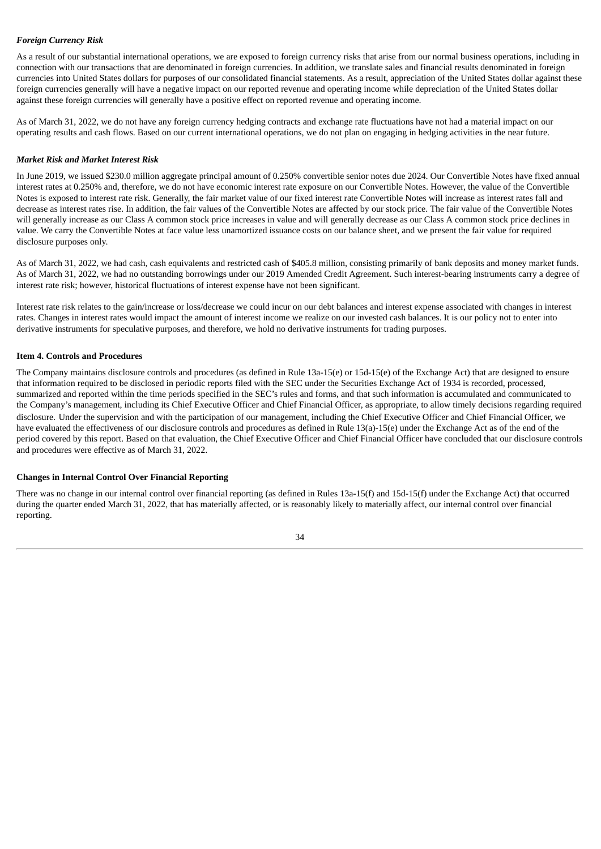## *Foreign Currency Risk*

As a result of our substantial international operations, we are exposed to foreign currency risks that arise from our normal business operations, including in connection with our transactions that are denominated in foreign currencies. In addition, we translate sales and financial results denominated in foreign currencies into United States dollars for purposes of our consolidated financial statements. As a result, appreciation of the United States dollar against these foreign currencies generally will have a negative impact on our reported revenue and operating income while depreciation of the United States dollar against these foreign currencies will generally have a positive effect on reported revenue and operating income.

As of March 31, 2022, we do not have any foreign currency hedging contracts and exchange rate fluctuations have not had a material impact on our operating results and cash flows. Based on our current international operations, we do not plan on engaging in hedging activities in the near future.

## *Market Risk and Market Interest Risk*

In June 2019, we issued \$230.0 million aggregate principal amount of 0.250% convertible senior notes due 2024. Our Convertible Notes have fixed annual interest rates at 0.250% and, therefore, we do not have economic interest rate exposure on our Convertible Notes. However, the value of the Convertible Notes is exposed to interest rate risk. Generally, the fair market value of our fixed interest rate Convertible Notes will increase as interest rates fall and decrease as interest rates rise. In addition, the fair values of the Convertible Notes are affected by our stock price. The fair value of the Convertible Notes will generally increase as our Class A common stock price increases in value and will generally decrease as our Class A common stock price declines in value. We carry the Convertible Notes at face value less unamortized issuance costs on our balance sheet, and we present the fair value for required disclosure purposes only.

As of March 31, 2022, we had cash, cash equivalents and restricted cash of \$405.8 million, consisting primarily of bank deposits and money market funds. As of March 31, 2022, we had no outstanding borrowings under our 2019 Amended Credit Agreement. Such interest-bearing instruments carry a degree of interest rate risk; however, historical fluctuations of interest expense have not been significant.

Interest rate risk relates to the gain/increase or loss/decrease we could incur on our debt balances and interest expense associated with changes in interest rates. Changes in interest rates would impact the amount of interest income we realize on our invested cash balances. It is our policy not to enter into derivative instruments for speculative purposes, and therefore, we hold no derivative instruments for trading purposes.

#### <span id="page-33-0"></span>**Item 4. Controls and Procedures**

The Company maintains disclosure controls and procedures (as defined in Rule 13a-15(e) or 15d-15(e) of the Exchange Act) that are designed to ensure that information required to be disclosed in periodic reports filed with the SEC under the Securities Exchange Act of 1934 is recorded, processed, summarized and reported within the time periods specified in the SEC's rules and forms, and that such information is accumulated and communicated to the Company's management, including its Chief Executive Officer and Chief Financial Officer, as appropriate, to allow timely decisions regarding required disclosure. Under the supervision and with the participation of our management, including the Chief Executive Officer and Chief Financial Officer, we have evaluated the effectiveness of our disclosure controls and procedures as defined in Rule 13(a)-15(e) under the Exchange Act as of the end of the period covered by this report. Based on that evaluation, the Chief Executive Officer and Chief Financial Officer have concluded that our disclosure controls and procedures were effective as of March 31, 2022.

#### **Changes in Internal Control Over Financial Reporting**

There was no change in our internal control over financial reporting (as defined in Rules 13a-15(f) and 15d-15(f) under the Exchange Act) that occurred during the quarter ended March 31, 2022, that has materially affected, or is reasonably likely to materially affect, our internal control over financial reporting.

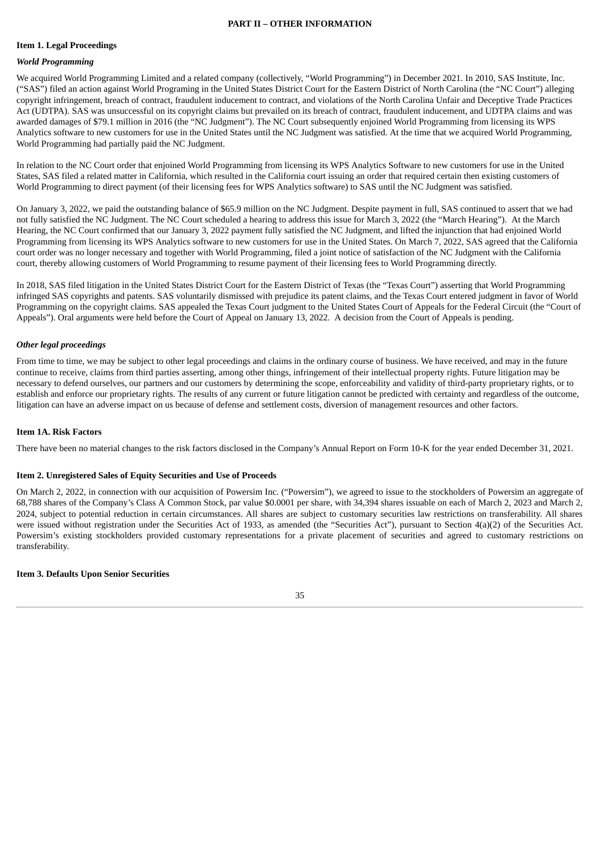#### **PART II – OTHER INFORMATION**

#### <span id="page-34-1"></span><span id="page-34-0"></span>**Item 1. Legal Proceedings**

## *World Programming*

We acquired World Programming Limited and a related company (collectively, "World Programming") in December 2021. In 2010, SAS Institute, Inc. ("SAS") filed an action against World Programing in the United States District Court for the Eastern District of North Carolina (the "NC Court") alleging copyright infringement, breach of contract, fraudulent inducement to contract, and violations of the North Carolina Unfair and Deceptive Trade Practices Act (UDTPA). SAS was unsuccessful on its copyright claims but prevailed on its breach of contract, fraudulent inducement, and UDTPA claims and was awarded damages of \$79.1 million in 2016 (the "NC Judgment"). The NC Court subsequently enjoined World Programming from licensing its WPS Analytics software to new customers for use in the United States until the NC Judgment was satisfied. At the time that we acquired World Programming, World Programming had partially paid the NC Judgment.

In relation to the NC Court order that enjoined World Programming from licensing its WPS Analytics Software to new customers for use in the United States, SAS filed a related matter in California, which resulted in the California court issuing an order that required certain then existing customers of World Programming to direct payment (of their licensing fees for WPS Analytics software) to SAS until the NC Judgment was satisfied.

On January 3, 2022, we paid the outstanding balance of \$65.9 million on the NC Judgment. Despite payment in full, SAS continued to assert that we had not fully satisfied the NC Judgment. The NC Court scheduled a hearing to address this issue for March 3, 2022 (the "March Hearing"). At the March Hearing, the NC Court confirmed that our January 3, 2022 payment fully satisfied the NC Judgment, and lifted the injunction that had enjoined World Programming from licensing its WPS Analytics software to new customers for use in the United States. On March 7, 2022, SAS agreed that the California court order was no longer necessary and together with World Programming, filed a joint notice of satisfaction of the NC Judgment with the California court, thereby allowing customers of World Programming to resume payment of their licensing fees to World Programming directly.

In 2018, SAS filed litigation in the United States District Court for the Eastern District of Texas (the "Texas Court") asserting that World Programming infringed SAS copyrights and patents. SAS voluntarily dismissed with prejudice its patent claims, and the Texas Court entered judgment in favor of World Programming on the copyright claims. SAS appealed the Texas Court judgment to the United States Court of Appeals for the Federal Circuit (the "Court of Appeals"). Oral arguments were held before the Court of Appeal on January 13, 2022. A decision from the Court of Appeals is pending.

#### *Other legal proceedings*

From time to time, we may be subject to other legal proceedings and claims in the ordinary course of business. We have received, and may in the future continue to receive, claims from third parties asserting, among other things, infringement of their intellectual property rights. Future litigation may be necessary to defend ourselves, our partners and our customers by determining the scope, enforceability and validity of third-party proprietary rights, or to establish and enforce our proprietary rights. The results of any current or future litigation cannot be predicted with certainty and regardless of the outcome, litigation can have an adverse impact on us because of defense and settlement costs, diversion of management resources and other factors.

#### <span id="page-34-2"></span>**Item 1A. Risk Factors**

There have been no material changes to the risk factors disclosed in the Company's Annual Report on Form 10-K for the year ended December 31, 2021.

## <span id="page-34-3"></span>**Item 2. Unregistered Sales of Equity Securities and Use of Proceeds**

On March 2, 2022, in connection with our acquisition of Powersim Inc. ("Powersim"), we agreed to issue to the stockholders of Powersim an aggregate of 68,788 shares of the Company's Class A Common Stock, par value \$0.0001 per share, with 34,394 shares issuable on each of March 2, 2023 and March 2, 2024, subject to potential reduction in certain circumstances. All shares are subject to customary securities law restrictions on transferability. All shares were issued without registration under the Securities Act of 1933, as amended (the "Securities Act"), pursuant to Section 4(a)(2) of the Securities Act. Powersim's existing stockholders provided customary representations for a private placement of securities and agreed to customary restrictions on transferability.

#### <span id="page-34-4"></span>**Item 3. Defaults Upon Senior Securities**

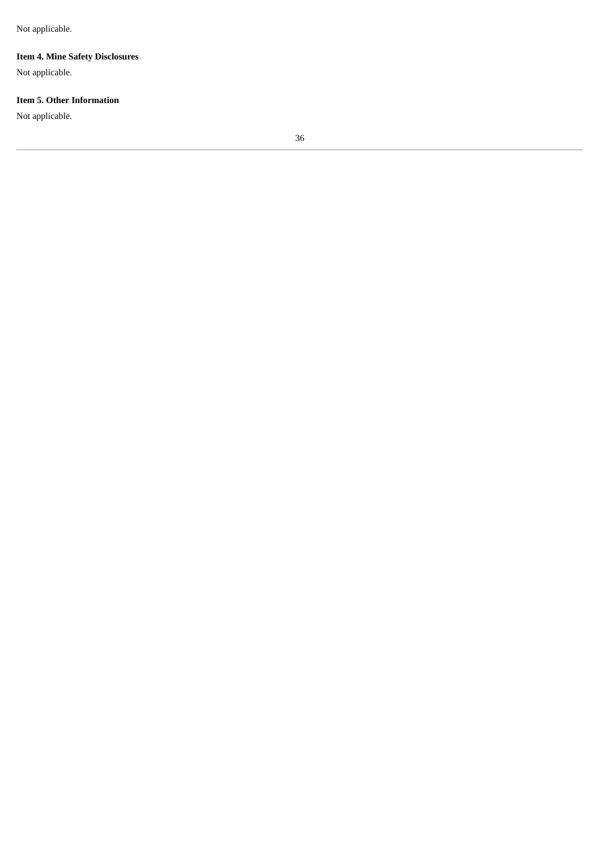Not applicable.

# <span id="page-35-0"></span>**Item 4. Mine Safety Disclosures**

Not applicable.

# <span id="page-35-1"></span>**Item 5. Other Information**

Not applicable.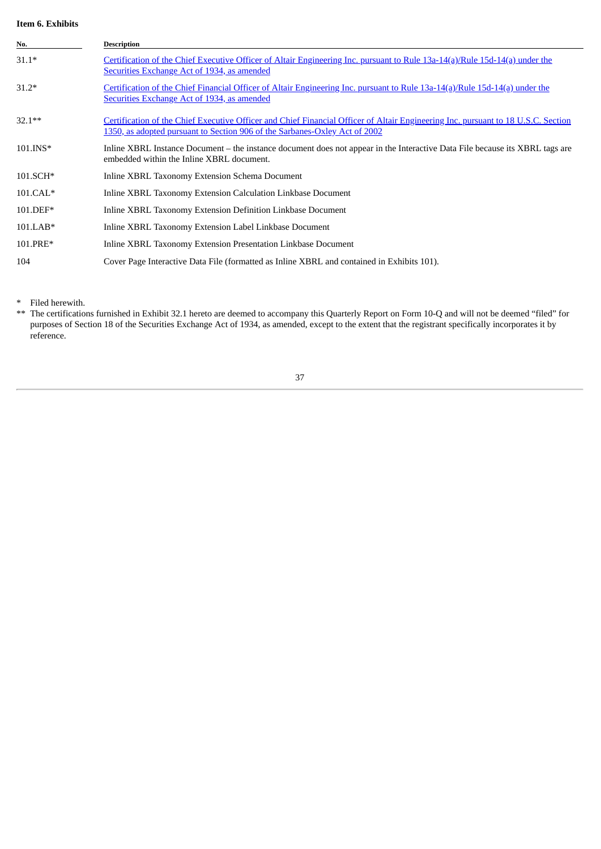## <span id="page-36-0"></span>**Item 6. Exhibits**

| No.        | <b>Description</b>                                                                                                                                                                                              |
|------------|-----------------------------------------------------------------------------------------------------------------------------------------------------------------------------------------------------------------|
| $31.1*$    | Certification of the Chief Executive Officer of Altair Engineering Inc. pursuant to Rule 13a-14(a)/Rule 15d-14(a) under the<br>Securities Exchange Act of 1934, as amended                                      |
| $31.2*$    | Certification of the Chief Financial Officer of Altair Engineering Inc. pursuant to Rule 13a-14(a)/Rule 15d-14(a) under the<br>Securities Exchange Act of 1934, as amended                                      |
| $32.1***$  | Certification of the Chief Executive Officer and Chief Financial Officer of Altair Engineering Inc. pursuant to 18 U.S.C. Section<br>1350, as adopted pursuant to Section 906 of the Sarbanes-Oxley Act of 2002 |
| $101.INS*$ | Inline XBRL Instance Document - the instance document does not appear in the Interactive Data File because its XBRL tags are<br>embedded within the Inline XBRL document.                                       |
| 101.SCH*   | Inline XBRL Taxonomy Extension Schema Document                                                                                                                                                                  |
| $101.CAL*$ | Inline XBRL Taxonomy Extension Calculation Linkbase Document                                                                                                                                                    |
| 101.DEF*   | Inline XBRL Taxonomy Extension Definition Linkbase Document                                                                                                                                                     |
| $101.LAB*$ | Inline XBRL Taxonomy Extension Label Linkbase Document                                                                                                                                                          |
| 101.PRE*   | Inline XBRL Taxonomy Extension Presentation Linkbase Document                                                                                                                                                   |
| 104        | Cover Page Interactive Data File (formatted as Inline XBRL and contained in Exhibits 101).                                                                                                                      |

\* Filed herewith.

\*\* The certifications furnished in Exhibit 32.1 hereto are deemed to accompany this Quarterly Report on Form 10-Q and will not be deemed "filed" for purposes of Section 18 of the Securities Exchange Act of 1934, as amended, except to the extent that the registrant specifically incorporates it by reference.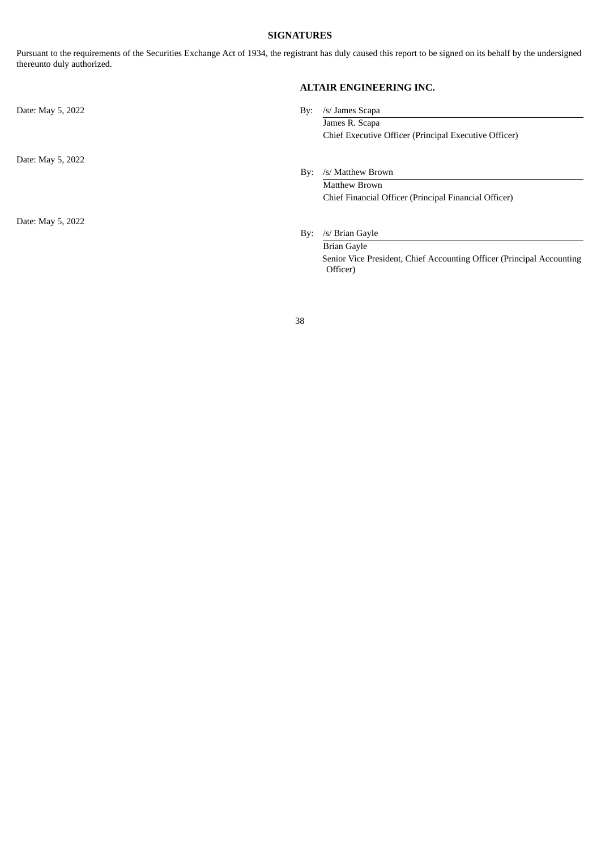## **SIGNATURES**

<span id="page-37-0"></span>Pursuant to the requirements of the Securities Exchange Act of 1934, the registrant has duly caused this report to be signed on its behalf by the undersigned thereunto duly authorized.

Date: May 5, 2022

Date: May 5, 2022

# **ALTAIR ENGINEERING INC.**

Date: May 5, 2022 By: /s/ James Scapa James R. Scapa Chief Executive Officer (Principal Executive Officer)

By: /s/ Matthew Brown

Matthew Brown Chief Financial Officer (Principal Financial Officer)

# By: /s/ Brian Gayle

Brian Gayle Senior Vice President, Chief Accounting Officer (Principal Accounting Officer)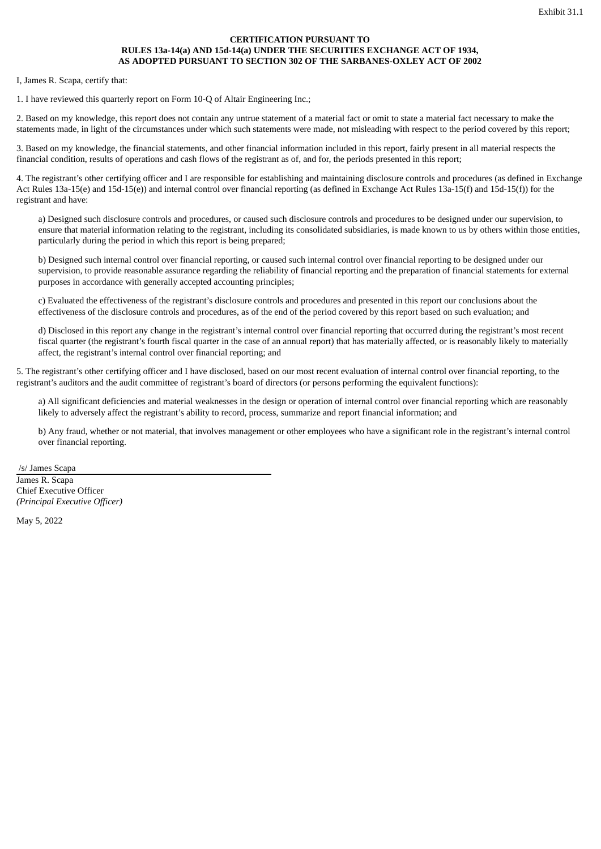## **CERTIFICATION PURSUANT TO RULES 13a-14(a) AND 15d-14(a) UNDER THE SECURITIES EXCHANGE ACT OF 1934, AS ADOPTED PURSUANT TO SECTION 302 OF THE SARBANES-OXLEY ACT OF 2002**

<span id="page-38-0"></span>I, James R. Scapa, certify that:

1. I have reviewed this quarterly report on Form 10-Q of Altair Engineering Inc.;

2. Based on my knowledge, this report does not contain any untrue statement of a material fact or omit to state a material fact necessary to make the statements made, in light of the circumstances under which such statements were made, not misleading with respect to the period covered by this report;

3. Based on my knowledge, the financial statements, and other financial information included in this report, fairly present in all material respects the financial condition, results of operations and cash flows of the registrant as of, and for, the periods presented in this report;

4. The registrant's other certifying officer and I are responsible for establishing and maintaining disclosure controls and procedures (as defined in Exchange Act Rules 13a-15(e) and 15d-15(e)) and internal control over financial reporting (as defined in Exchange Act Rules 13a-15(f) and 15d-15(f)) for the registrant and have:

a) Designed such disclosure controls and procedures, or caused such disclosure controls and procedures to be designed under our supervision, to ensure that material information relating to the registrant, including its consolidated subsidiaries, is made known to us by others within those entities, particularly during the period in which this report is being prepared;

b) Designed such internal control over financial reporting, or caused such internal control over financial reporting to be designed under our supervision, to provide reasonable assurance regarding the reliability of financial reporting and the preparation of financial statements for external purposes in accordance with generally accepted accounting principles;

c) Evaluated the effectiveness of the registrant's disclosure controls and procedures and presented in this report our conclusions about the effectiveness of the disclosure controls and procedures, as of the end of the period covered by this report based on such evaluation; and

d) Disclosed in this report any change in the registrant's internal control over financial reporting that occurred during the registrant's most recent fiscal quarter (the registrant's fourth fiscal quarter in the case of an annual report) that has materially affected, or is reasonably likely to materially affect, the registrant's internal control over financial reporting; and

5. The registrant's other certifying officer and I have disclosed, based on our most recent evaluation of internal control over financial reporting, to the registrant's auditors and the audit committee of registrant's board of directors (or persons performing the equivalent functions):

a) All significant deficiencies and material weaknesses in the design or operation of internal control over financial reporting which are reasonably likely to adversely affect the registrant's ability to record, process, summarize and report financial information; and

b) Any fraud, whether or not material, that involves management or other employees who have a significant role in the registrant's internal control over financial reporting.

/s/ James Scapa

James R. Scapa Chief Executive Officer *(Principal Executive Officer)*

May 5, 2022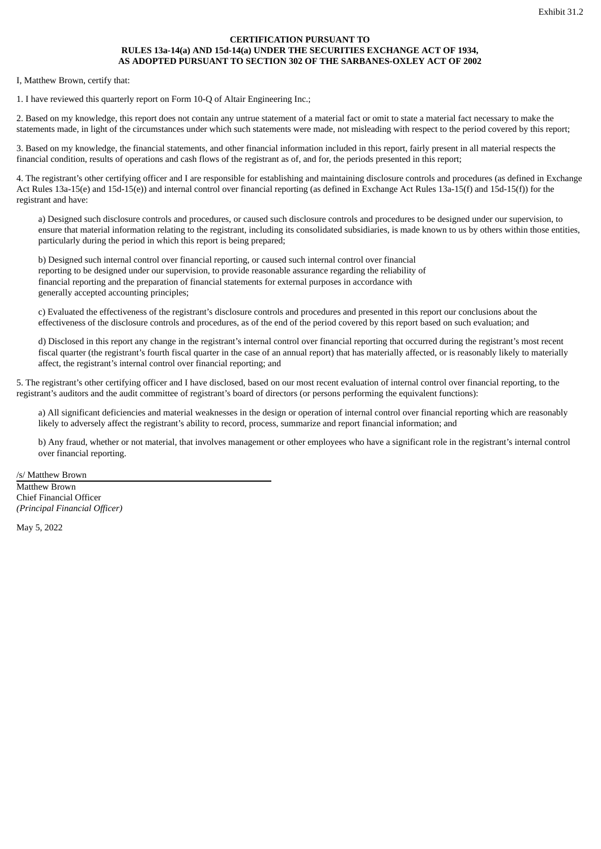## **CERTIFICATION PURSUANT TO RULES 13a-14(a) AND 15d-14(a) UNDER THE SECURITIES EXCHANGE ACT OF 1934, AS ADOPTED PURSUANT TO SECTION 302 OF THE SARBANES-OXLEY ACT OF 2002**

<span id="page-39-0"></span>I, Matthew Brown, certify that:

1. I have reviewed this quarterly report on Form 10-Q of Altair Engineering Inc.;

2. Based on my knowledge, this report does not contain any untrue statement of a material fact or omit to state a material fact necessary to make the statements made, in light of the circumstances under which such statements were made, not misleading with respect to the period covered by this report;

3. Based on my knowledge, the financial statements, and other financial information included in this report, fairly present in all material respects the financial condition, results of operations and cash flows of the registrant as of, and for, the periods presented in this report;

4. The registrant's other certifying officer and I are responsible for establishing and maintaining disclosure controls and procedures (as defined in Exchange Act Rules 13a-15(e) and 15d-15(e)) and internal control over financial reporting (as defined in Exchange Act Rules 13a-15(f) and 15d-15(f)) for the registrant and have:

a) Designed such disclosure controls and procedures, or caused such disclosure controls and procedures to be designed under our supervision, to ensure that material information relating to the registrant, including its consolidated subsidiaries, is made known to us by others within those entities, particularly during the period in which this report is being prepared;

b) Designed such internal control over financial reporting, or caused such internal control over financial reporting to be designed under our supervision, to provide reasonable assurance regarding the reliability of financial reporting and the preparation of financial statements for external purposes in accordance with generally accepted accounting principles;

c) Evaluated the effectiveness of the registrant's disclosure controls and procedures and presented in this report our conclusions about the effectiveness of the disclosure controls and procedures, as of the end of the period covered by this report based on such evaluation; and

d) Disclosed in this report any change in the registrant's internal control over financial reporting that occurred during the registrant's most recent fiscal quarter (the registrant's fourth fiscal quarter in the case of an annual report) that has materially affected, or is reasonably likely to materially affect, the registrant's internal control over financial reporting; and

5. The registrant's other certifying officer and I have disclosed, based on our most recent evaluation of internal control over financial reporting, to the registrant's auditors and the audit committee of registrant's board of directors (or persons performing the equivalent functions):

a) All significant deficiencies and material weaknesses in the design or operation of internal control over financial reporting which are reasonably likely to adversely affect the registrant's ability to record, process, summarize and report financial information; and

b) Any fraud, whether or not material, that involves management or other employees who have a significant role in the registrant's internal control over financial reporting.

/s/ Matthew Brown Matthew Brown Chief Financial Officer *(Principal Financial Officer)*

May 5, 2022